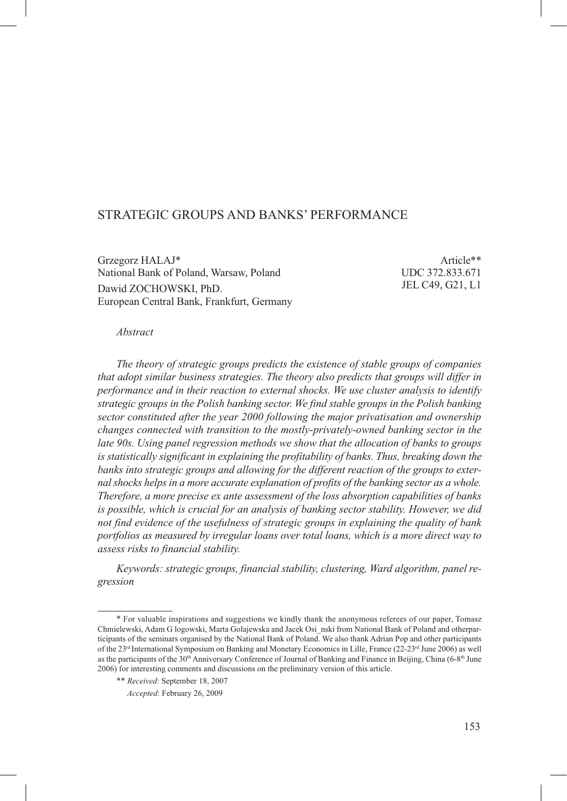# STRATEGIC GROUPS AND BANKS' PERFORMANCE

Grzegorz HALAJ\* Article\*\* Article \*\* Article \*\* Article \*\* Article \*\* Article \*\* Article \*\* Article \*\* Article \*\* Article \*\* Article \*\* Article \*\* Article \*\* Article \*\* Article \*\* Article \*\* Article \*\* Article \*\* Article \* National Bank of Poland, Warsaw, Poland UDC 372.833.671 Dawid ZOchowski, Phd. European Central Bank, Frankfurt, Germany

JEL C49, G21, L1

## *Abstract*

*The theory of strategic groups predicts the existence of stable groups of companies that adopt similar business strategies. The theory also predicts that groups will differ in performance and in their reaction to external shocks. We use cluster analysis to identify strategic groups in the Polish banking sector. We find stable groups in the Polish banking sector constituted after the year 2000 following the major privatisation and ownership changes connected with transition to the mostly-privately-owned banking sector in the late 90s. Using panel regression methods we show that the allocation of banks to groups*  is statistically significant in explaining the profitability of banks. Thus, breaking down the *banks into strategic groups and allowing for the different reaction of the groups to external shocks helps in a more accurate explanation of profits of the banking sector as a whole. Therefore, a more precise ex ante assessment of the loss absorption capabilities of banks is possible, which is crucial for an analysis of banking sector stability. However, we did not find evidence of the usefulness of strategic groups in explaining the quality of bank portfolios as measured by irregular loans over total loans, which is a more direct way to assess risks to financial stability.* 

*Keywords: strategic groups, financial stability, clustering, Ward algorithm, panel regression* 

<sup>\*</sup> For valuable inspirations and suggestions we kindly thank the anonymous referees of our paper, Tomasz Chmielewski, Adam G logowski, Marta Golajewska and Jacek Osi\_nski from National Bank of Poland and otherparticipants of the seminars organised by the National Bank of Poland. We also thank Adrian Pop and other participants of the 23rd International Symposium on Banking and Monetary Economics in Lille, France (22-23rd June 2006) as well as the participants of the 30<sup>th</sup> Anniversary Conference of Journal of Banking and Finance in Beijing, China (6-8<sup>th</sup> June 2006) for interesting comments and discussions on the preliminary version of this article.

<sup>\*\*</sup> *Received*: September 18, 2007

Accepted: February 26, 2009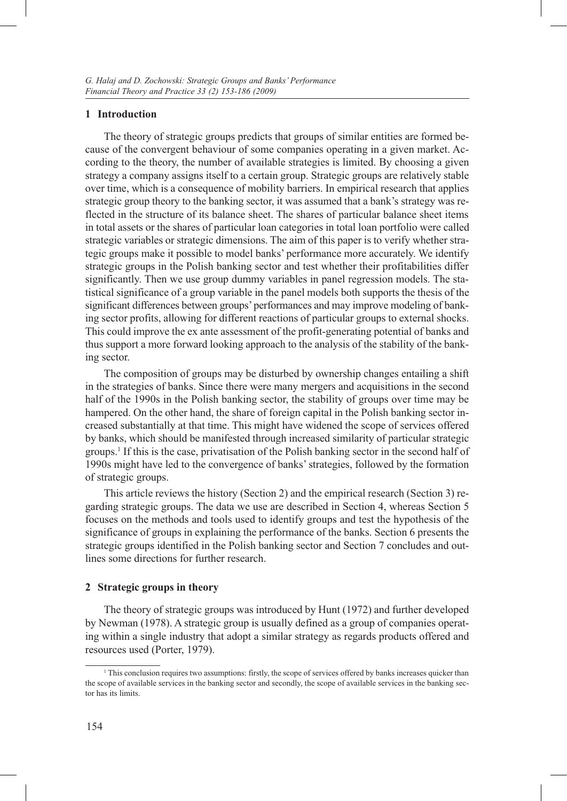## **1 Introduction**

The theory of strategic groups predicts that groups of similar entities are formed because of the convergent behaviour of some companies operating in a given market. According to the theory, the number of available strategies is limited. By choosing a given strategy a company assigns itself to a certain group. Strategic groups are relatively stable over time, which is a consequence of mobility barriers. In empirical research that applies strategic group theory to the banking sector, it was assumed that a bank's strategy was reflected in the structure of its balance sheet. The shares of particular balance sheet items in total assets or the shares of particular loan categories in total loan portfolio were called strategic variables or strategic dimensions. The aim of this paper is to verify whether strategic groups make it possible to model banks' performance more accurately. We identify strategic groups in the Polish banking sector and test whether their profitabilities differ significantly. Then we use group dummy variables in panel regression models. The statistical significance of a group variable in the panel models both supports the thesis of the significant differences between groups' performances and may improve modeling of banking sector profits, allowing for different reactions of particular groups to external shocks. This could improve the ex ante assessment of the profit-generating potential of banks and thus support a more forward looking approach to the analysis of the stability of the banking sector.

The composition of groups may be disturbed by ownership changes entailing a shift in the strategies of banks. Since there were many mergers and acquisitions in the second half of the 1990s in the Polish banking sector, the stability of groups over time may be hampered. On the other hand, the share of foreign capital in the Polish banking sector increased substantially at that time. This might have widened the scope of services offered by banks, which should be manifested through increased similarity of particular strategic groups.1 If this is the case, privatisation of the Polish banking sector in the second half of 1990s might have led to the convergence of banks' strategies, followed by the formation of strategic groups.

This article reviews the history (Section 2) and the empirical research (Section 3) regarding strategic groups. The data we use are described in Section 4, whereas Section 5 focuses on the methods and tools used to identify groups and test the hypothesis of the significance of groups in explaining the performance of the banks. Section 6 presents the strategic groups identified in the Polish banking sector and Section 7 concludes and outlines some directions for further research.

## **2 Strategic groups in theory**

The theory of strategic groups was introduced by Hunt (1972) and further developed by Newman (1978). A strategic group is usually defined as a group of companies operating within a single industry that adopt a similar strategy as regards products offered and resources used (Porter, 1979).

<sup>1</sup> This conclusion requires two assumptions: firstly, the scope of services offered by banks increases quicker than the scope of available services in the banking sector and secondly, the scope of available services in the banking sector has its limits.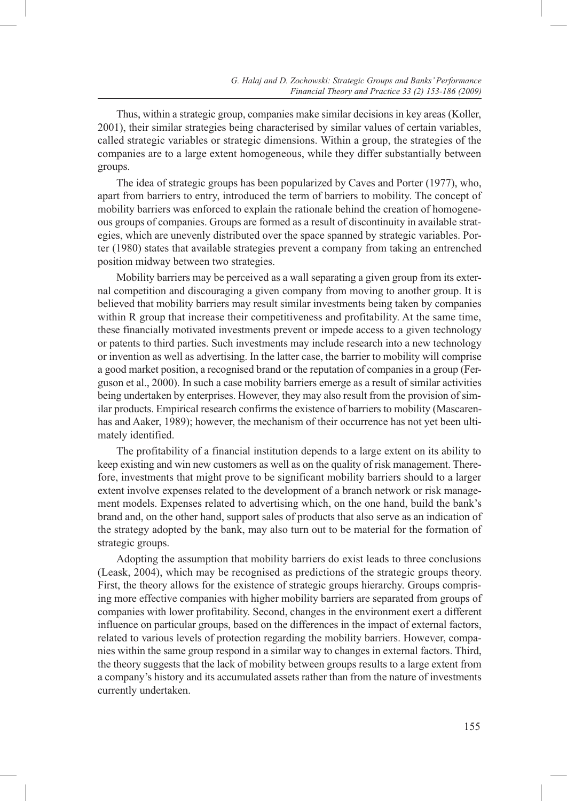Thus, within a strategic group, companies make similar decisions in key areas (Koller, 2001), their similar strategies being characterised by similar values of certain variables, called strategic variables or strategic dimensions. Within a group, the strategies of the companies are to a large extent homogeneous, while they differ substantially between groups.

The idea of strategic groups has been popularized by Caves and Porter (1977), who, apart from barriers to entry, introduced the term of barriers to mobility. The concept of mobility barriers was enforced to explain the rationale behind the creation of homogeneous groups of companies. Groups are formed as a result of discontinuity in available strategies, which are unevenly distributed over the space spanned by strategic variables. Porter (1980) states that available strategies prevent a company from taking an entrenched position midway between two strategies.

Mobility barriers may be perceived as a wall separating a given group from its external competition and discouraging a given company from moving to another group. It is believed that mobility barriers may result similar investments being taken by companies within R group that increase their competitiveness and profitability. At the same time, these financially motivated investments prevent or impede access to a given technology or patents to third parties. Such investments may include research into a new technology or invention as well as advertising. In the latter case, the barrier to mobility will comprise a good market position, a recognised brand or the reputation of companies in a group (Ferguson et al., 2000). In such a case mobility barriers emerge as a result of similar activities being undertaken by enterprises. However, they may also result from the provision of similar products. Empirical research confirms the existence of barriers to mobility (Mascarenhas and Aaker, 1989); however, the mechanism of their occurrence has not yet been ultimately identified.

The profitability of a financial institution depends to a large extent on its ability to keep existing and win new customers as well as on the quality of risk management. Therefore, investments that might prove to be significant mobility barriers should to a larger extent involve expenses related to the development of a branch network or risk management models. Expenses related to advertising which, on the one hand, build the bank's brand and, on the other hand, support sales of products that also serve as an indication of the strategy adopted by the bank, may also turn out to be material for the formation of strategic groups.

Adopting the assumption that mobility barriers do exist leads to three conclusions (Leask, 2004), which may be recognised as predictions of the strategic groups theory. First, the theory allows for the existence of strategic groups hierarchy. Groups comprising more effective companies with higher mobility barriers are separated from groups of companies with lower profitability. Second, changes in the environment exert a different influence on particular groups, based on the differences in the impact of external factors, related to various levels of protection regarding the mobility barriers. However, companies within the same group respond in a similar way to changes in external factors. Third, the theory suggests that the lack of mobility between groups results to a large extent from a company's history and its accumulated assets rather than from the nature of investments currently undertaken.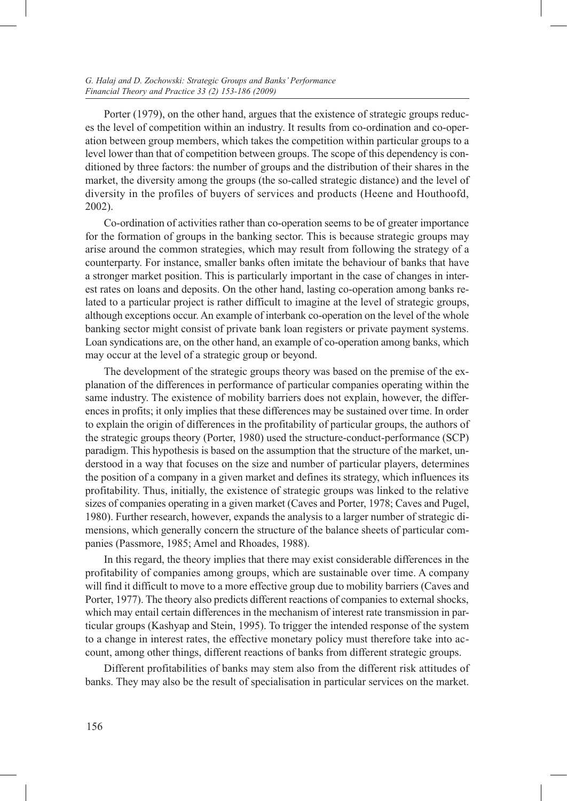Porter (1979), on the other hand, argues that the existence of strategic groups reduces the level of competition within an industry. It results from co-ordination and co-operation between group members, which takes the competition within particular groups to a level lower than that of competition between groups. The scope of this dependency is conditioned by three factors: the number of groups and the distribution of their shares in the market, the diversity among the groups (the so-called strategic distance) and the level of diversity in the profiles of buyers of services and products (Heene and Houthoofd, 2002).

Co-ordination of activities rather than co-operation seems to be of greater importance for the formation of groups in the banking sector. This is because strategic groups may arise around the common strategies, which may result from following the strategy of a counterparty. For instance, smaller banks often imitate the behaviour of banks that have a stronger market position. This is particularly important in the case of changes in interest rates on loans and deposits. On the other hand, lasting co-operation among banks related to a particular project is rather difficult to imagine at the level of strategic groups, although exceptions occur. An example of interbank co-operation on the level of the whole banking sector might consist of private bank loan registers or private payment systems. Loan syndications are, on the other hand, an example of co-operation among banks, which may occur at the level of a strategic group or beyond.

The development of the strategic groups theory was based on the premise of the explanation of the differences in performance of particular companies operating within the same industry. The existence of mobility barriers does not explain, however, the differences in profits; it only implies that these differences may be sustained over time. In order to explain the origin of differences in the profitability of particular groups, the authors of the strategic groups theory (Porter, 1980) used the structure-conduct-performance (SCP) paradigm. This hypothesis is based on the assumption that the structure of the market, understood in a way that focuses on the size and number of particular players, determines the position of a company in a given market and defines its strategy, which influences its profitability. Thus, initially, the existence of strategic groups was linked to the relative sizes of companies operating in a given market (Caves and Porter, 1978; Caves and Pugel, 1980). Further research, however, expands the analysis to a larger number of strategic dimensions, which generally concern the structure of the balance sheets of particular companies (Passmore, 1985; Amel and Rhoades, 1988).

In this regard, the theory implies that there may exist considerable differences in the profitability of companies among groups, which are sustainable over time. A company will find it difficult to move to a more effective group due to mobility barriers (Caves and Porter, 1977). The theory also predicts different reactions of companies to external shocks, which may entail certain differences in the mechanism of interest rate transmission in particular groups (Kashyap and Stein, 1995). To trigger the intended response of the system to a change in interest rates, the effective monetary policy must therefore take into account, among other things, different reactions of banks from different strategic groups.

Different profitabilities of banks may stem also from the different risk attitudes of banks. They may also be the result of specialisation in particular services on the market.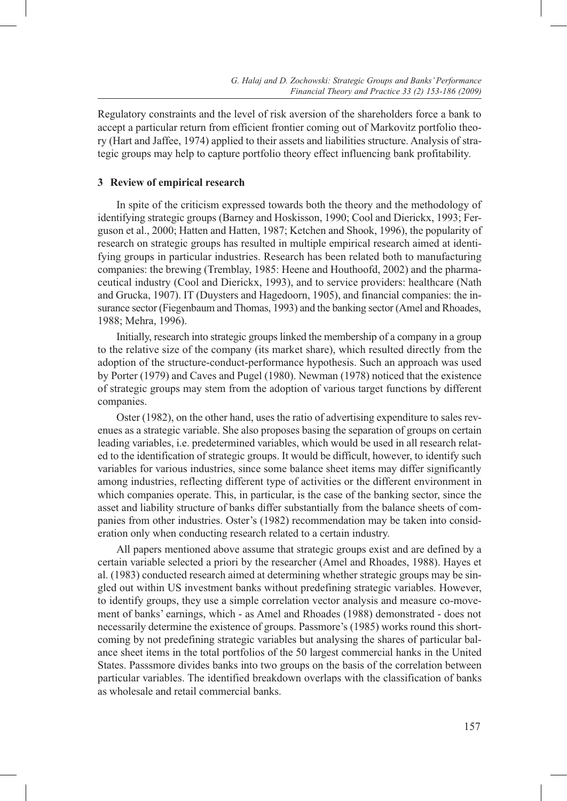Regulatory constraints and the level of risk aversion of the shareholders force a bank to accept a particular return from efficient frontier coming out of Markovitz portfolio theory (Hart and Jaffee, 1974) applied to their assets and liabilities structure. Analysis of strategic groups may help to capture portfolio theory effect influencing bank profitability.

## **3 Review of empirical research**

In spite of the criticism expressed towards both the theory and the methodology of identifying strategic groups (Barney and Hoskisson, 1990; Cool and Dierickx, 1993; Ferguson et al., 2000; Hatten and Hatten, 1987; Ketchen and Shook, 1996), the popularity of research on strategic groups has resulted in multiple empirical research aimed at identifying groups in particular industries. Research has been related both to manufacturing companies: the brewing (Tremblay, 1985: Heene and Houthoofd, 2002) and the pharmaceutical industry (Cool and Dierickx, 1993), and to service providers: healthcare (Nath and Grucka, 1907). IT (Duysters and Hagedoorn, 1905), and financial companies: the insurance sector (Fiegenbaum and Thomas, 1993) and the banking sector (Amel and Rhoades, 1988; Mehra, 1996).

Initially, research into strategic groups linked the membership of a company in a group to the relative size of the company (its market share), which resulted directly from the adoption of the structure-conduct-performance hypothesis. Such an approach was used by Porter (1979) and Caves and Pugel (1980). Newman (1978) noticed that the existence of strategic groups may stem from the adoption of various target functions by different companies.

Oster (1982), on the other hand, uses the ratio of advertising expenditure to sales revenues as a strategic variable. She also proposes basing the separation of groups on certain leading variables, i.e. predetermined variables, which would be used in all research related to the identification of strategic groups. It would be difficult, however, to identify such variables for various industries, since some balance sheet items may differ significantly among industries, reflecting different type of activities or the different environment in which companies operate. This, in particular, is the case of the banking sector, since the asset and liability structure of banks differ substantially from the balance sheets of companies from other industries. Oster's (1982) recommendation may be taken into consideration only when conducting research related to a certain industry.

All papers mentioned above assume that strategic groups exist and are defined by a certain variable selected a priori by the researcher (Amel and Rhoades, 1988). Hayes et al. (1983) conducted research aimed at determining whether strategic groups may be singled out within US investment banks without predefining strategic variables. However, to identify groups, they use a simple correlation vector analysis and measure co-movement of banks' earnings, which - as Amel and Rhoades (1988) demonstrated - does not necessarily determine the existence of groups. Passmore's (1985) works round this shortcoming by not predefining strategic variables but analysing the shares of particular balance sheet items in the total portfolios of the 50 largest commercial hanks in the United States. Passsmore divides banks into two groups on the basis of the correlation between particular variables. The identified breakdown overlaps with the classification of banks as wholesale and retail commercial banks.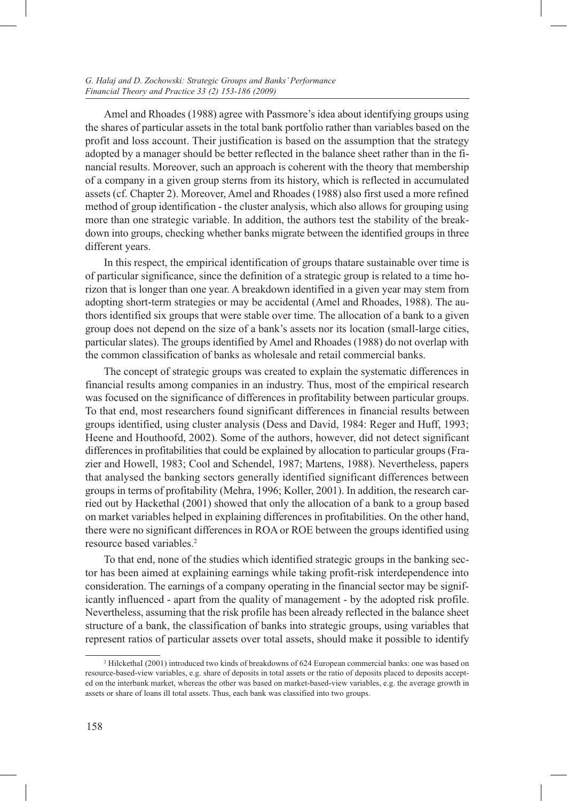Amel and Rhoades (1988) agree with Passmore's idea about identifying groups using the shares of particular assets in the total bank portfolio rather than variables based on the profit and loss account. Their justification is based on the assumption that the strategy adopted by a manager should be better reflected in the balance sheet rather than in the financial results. Moreover, such an approach is coherent with the theory that membership of a company in a given group sterns from its history, which is reflected in accumulated assets (cf. Chapter 2). Moreover, Amel and Rhoades (1988) also first used a more refined method of group identification - the cluster analysis, which also allows for grouping using more than one strategic variable. In addition, the authors test the stability of the breakdown into groups, checking whether banks migrate between the identified groups in three different years.

In this respect, the empirical identification of groups thatare sustainable over time is of particular significance, since the definition of a strategic group is related to a time horizon that is longer than one year. A breakdown identified in a given year may stem from adopting short-term strategies or may be accidental (Amel and Rhoades, 1988). The authors identified six groups that were stable over time. The allocation of a bank to a given group does not depend on the size of a bank's assets nor its location (small-large cities, particular slates). The groups identified by Amel and Rhoades (1988) do not overlap with the common classification of banks as wholesale and retail commercial banks.

The concept of strategic groups was created to explain the systematic differences in financial results among companies in an industry. Thus, most of the empirical research was focused on the significance of differences in profitability between particular groups. To that end, most researchers found significant differences in financial results between groups identified, using cluster analysis (Dess and David, 1984: Reger and Huff, 1993; Heene and Houthoofd, 2002). Some of the authors, however, did not detect significant differences in profitabilities that could be explained by allocation to particular groups (Frazier and Howell, 1983; Cool and Schendel, 1987; Martens, 1988). Nevertheless, papers that analysed the banking sectors generally identified significant differences between groups in terms of profitability (Mehra, 1996; Koller, 2001). In addition, the research carried out by Hackethal (2001) showed that only the allocation of a bank to a group based on market variables helped in explaining differences in profitabilities. On the other hand, there were no significant differences in ROA or ROE between the groups identified using resource based variables.2

To that end, none of the studies which identified strategic groups in the banking sector has been aimed at explaining earnings while taking profit-risk interdependence into consideration. The earnings of a company operating in the financial sector may be significantly influenced - apart from the quality of management - by the adopted risk profile. Nevertheless, assuming that the risk profile has been already reflected in the balance sheet structure of a bank, the classification of banks into strategic groups, using variables that represent ratios of particular assets over total assets, should make it possible to identify

<sup>2</sup> HilckethaI (2001) introduced two kinds of breakdowns of 624 European commercial banks: one was based on resource-based-view variables, e.g. share of deposits in total assets or the ratio of deposits placed to deposits accepted on the interbank market, whereas the other was based on market-based-view variables, e.g. the average growth in assets or share of loans ill total assets. Thus, each bank was classified into two groups.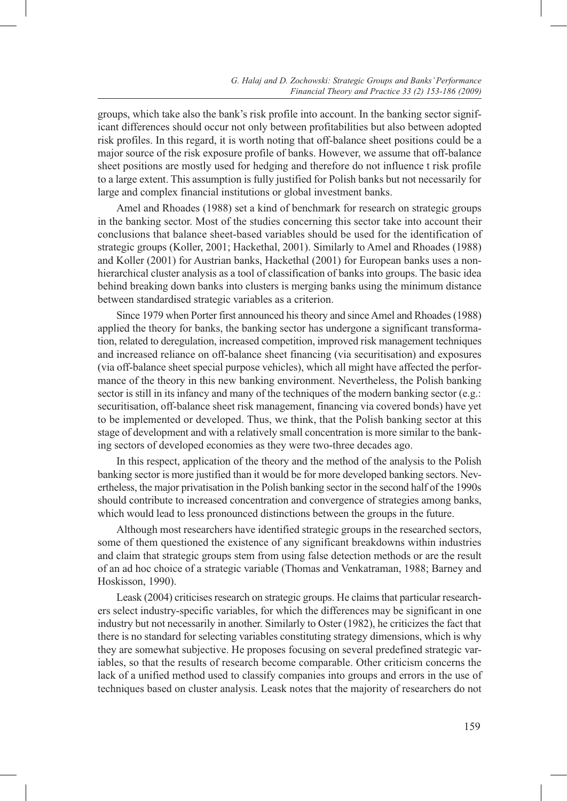groups, which take also the bank's risk profile into account. In the banking sector significant differences should occur not only between profitabilities but also between adopted risk profiles. In this regard, it is worth noting that off-balance sheet positions could be a major source of the risk exposure profile of banks. However, we assume that off-balance sheet positions are mostly used for hedging and therefore do not influence t risk profile to a large extent. This assumption is fully justified for Polish banks but not necessarily for large and complex financial institutions or global investment banks.

Amel and Rhoades (1988) set a kind of benchmark for research on strategic groups in the banking sector. Most of the studies concerning this sector take into account their conclusions that balance sheet-based variables should be used for the identification of strategic groups (Koller, 2001; Hackethal, 2001). Similarly to Amel and Rhoades (1988) and Koller (2001) for Austrian banks, Hackethal (2001) for European banks uses a nonhierarchical cluster analysis as a tool of classification of banks into groups. The basic idea behind breaking down banks into clusters is merging banks using the minimum distance between standardised strategic variables as a criterion.

Since 1979 when Porter first announced his theory and since Amel and Rhoades (1988) applied the theory for banks, the banking sector has undergone a significant transformation, related to deregulation, increased competition, improved risk management techniques and increased reliance on off-balance sheet financing (via securitisation) and exposures (via off-balance sheet special purpose vehicles), which all might have affected the performance of the theory in this new banking environment. Nevertheless, the Polish banking sector is still in its infancy and many of the techniques of the modern banking sector (e.g.: securitisation, off-balance sheet risk management, financing via covered bonds) have yet to be implemented or developed. Thus, we think, that the Polish banking sector at this stage of development and with a relatively small concentration is more similar to the banking sectors of developed economies as they were two-three decades ago.

In this respect, application of the theory and the method of the analysis to the Polish banking sector is more justified than it would be for more developed banking sectors. Nevertheless, the major privatisation in the Polish banking sector in the second half of the 1990s should contribute to increased concentration and convergence of strategies among banks, which would lead to less pronounced distinctions between the groups in the future.

Although most researchers have identified strategic groups in the researched sectors, some of them questioned the existence of any significant breakdowns within industries and claim that strategic groups stem from using false detection methods or are the result of an ad hoc choice of a strategic variable (Thomas and Venkatraman, 1988; Barney and Hoskisson, 1990).

Leask (2004) criticises research on strategic groups. He claims that particular researchers select industry-specific variables, for which the differences may be significant in one industry but not necessarily in another. Similarly to Oster (1982), he criticizes the fact that there is no standard for selecting variables constituting strategy dimensions, which is why they are somewhat subjective. He proposes focusing on several predefined strategic variables, so that the results of research become comparable. Other criticism concerns the lack of a unified method used to classify companies into groups and errors in the use of techniques based on cluster analysis. Leask notes that the majority of researchers do not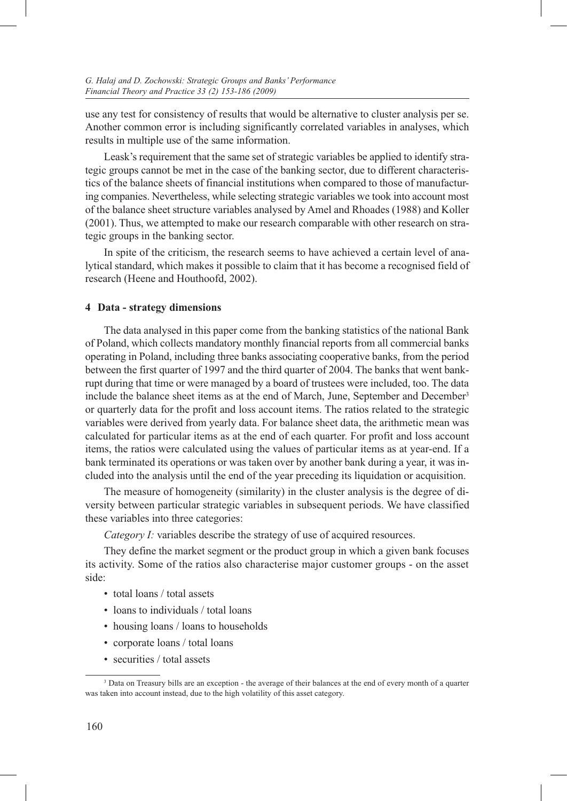use any test for consistency of results that would be alternative to cluster analysis per se. Another common error is including significantly correlated variables in analyses, which results in multiple use of the same information.

Leask's requirement that the same set of strategic variables be applied to identify strategic groups cannot be met in the case of the banking sector, due to different characteristics of the balance sheets of financial institutions when compared to those of manufacturing companies. Nevertheless, while selecting strategic variables we took into account most of the balance sheet structure variables analysed by Amel and Rhoades (1988) and Koller (2001). Thus, we attempted to make our research comparable with other research on strategic groups in the banking sector.

In spite of the criticism, the research seems to have achieved a certain level of analytical standard, which makes it possible to claim that it has become a recognised field of research (Heene and Houthoofd, 2002).

## **4 Data - strategy dimensions**

The data analysed in this paper come from the banking statistics of the national Bank of Poland, which collects mandatory monthly financial reports from all commercial banks operating in Poland, including three banks associating cooperative banks, from the period between the first quarter of 1997 and the third quarter of 2004. The banks that went bankrupt during that time or were managed by a board of trustees were included, too. The data include the balance sheet items as at the end of March, June, September and December<sup>3</sup> or quarterly data for the profit and loss account items. The ratios related to the strategic variables were derived from yearly data. For balance sheet data, the arithmetic mean was calculated for particular items as at the end of each quarter. For profit and loss account items, the ratios were calculated using the values of particular items as at year-end. If a bank terminated its operations or was taken over by another bank during a year, it was included into the analysis until the end of the year preceding its liquidation or acquisition.

The measure of homogeneity (similarity) in the cluster analysis is the degree of diversity between particular strategic variables in subsequent periods. We have classified these variables into three categories:

*Category I:* variables describe the strategy of use of acquired resources.

They define the market segment or the product group in which a given bank focuses its activity. Some of the ratios also characterise major customer groups - on the asset side:

- total loans / total assets
- loans to individuals / total loans
- housing loans / loans to households
- corporate loans / total loans
- securities / total assets

<sup>3</sup> Data on Treasury bills are an exception - the average of their balances at the end of every month of a quarter was taken into account instead, due to the high volatility of this asset category.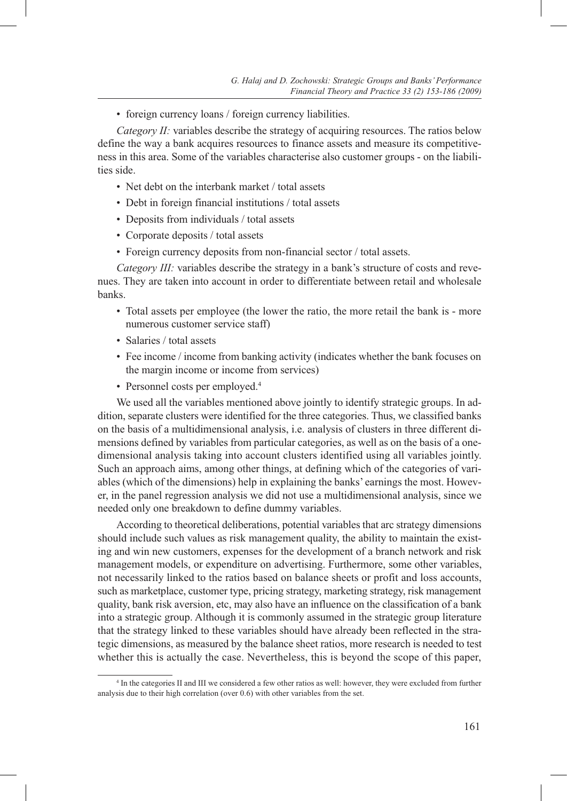• foreign currency loans / foreign currency liabilities.

*Category II:* variables describe the strategy of acquiring resources. The ratios below define the way a bank acquires resources to finance assets and measure its competitiveness in this area. Some of the variables characterise also customer groups - on the liabilities side.

- Net debt on the interbank market / total assets
- Debt in foreign financial institutions / total assets
- Deposits from individuals / total assets
- Corporate deposits / total assets
- Foreign currency deposits from non-financial sector / total assets.

*Category III:* variables describe the strategy in a bank's structure of costs and revenues. They are taken into account in order to differentiate between retail and wholesale banks.

- Total assets per employee (the lower the ratio, the more retail the bank is more numerous customer service staff)
- Salaries / total assets
- Fee income / income from banking activity (indicates whether the bank focuses on the margin income or income from services)
- Personnel costs per employed.<sup>4</sup>

We used all the variables mentioned above jointly to identify strategic groups. In addition, separate clusters were identified for the three categories. Thus, we classified banks on the basis of a multidimensional analysis, i.e. analysis of clusters in three different dimensions defined by variables from particular categories, as well as on the basis of a onedimensional analysis taking into account clusters identified using all variables jointly. Such an approach aims, among other things, at defining which of the categories of variables (which of the dimensions) help in explaining the banks' earnings the most. However, in the panel regression analysis we did not use a multidimensional analysis, since we needed only one breakdown to define dummy variables.

According to theoretical deliberations, potential variables that arc strategy dimensions should include such values as risk management quality, the ability to maintain the existing and win new customers, expenses for the development of a branch network and risk management models, or expenditure on advertising. Furthermore, some other variables, not necessarily linked to the ratios based on balance sheets or profit and loss accounts, such as marketplace, customer type, pricing strategy, marketing strategy, risk management quality, bank risk aversion, etc, may also have an influence on the classification of a bank into a strategic group. Although it is commonly assumed in the strategic group literature that the strategy linked to these variables should have already been reflected in the strategic dimensions, as measured by the balance sheet ratios, more research is needed to test whether this is actually the case. Nevertheless, this is beyond the scope of this paper,

<sup>4</sup> In the categories II and III we considered a few other ratios as well: however, they were excluded from further analysis due to their high correlation (over 0.6) with other variables from the set.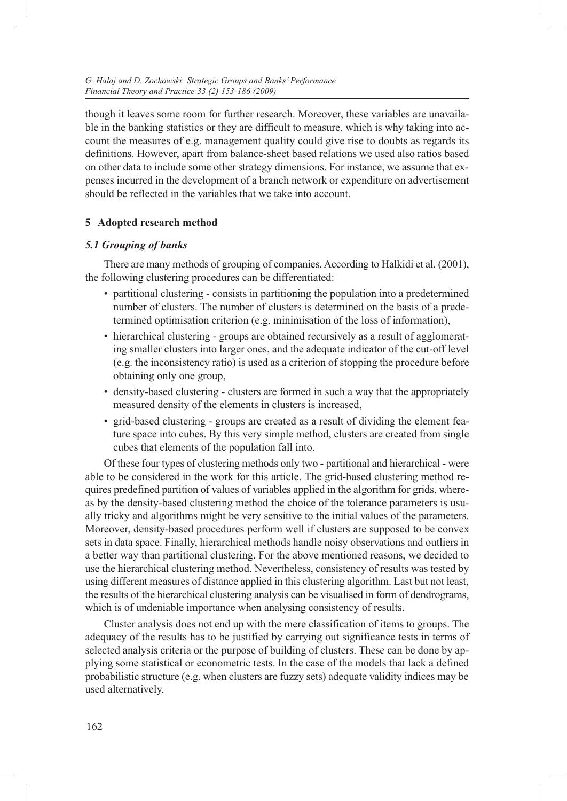though it leaves some room for further research. Moreover, these variables are unavailable in the banking statistics or they are difficult to measure, which is why taking into account the measures of e.g. management quality could give rise to doubts as regards its definitions. However, apart from balance-sheet based relations we used also ratios based on other data to include some other strategy dimensions. For instance, we assume that expenses incurred in the development of a branch network or expenditure on advertisement should be reflected in the variables that we take into account.

## **5 Adopted research method**

## *5.1 Grouping of banks*

There are many methods of grouping of companies. According to Halkidi et al. (2001), the following clustering procedures can be differentiated:

- partitional clustering consists in partitioning the population into a predetermined number of clusters. The number of clusters is determined on the basis of a predetermined optimisation criterion (e.g. minimisation of the loss of information),
- hierarchical clustering groups are obtained recursively as a result of agglomerating smaller clusters into larger ones, and the adequate indicator of the cut-off level (e.g. the inconsistency ratio) is used as a criterion of stopping the procedure before obtaining only one group,
- density-based clustering clusters are formed in such a way that the appropriately measured density of the elements in clusters is increased,
- grid-based clustering groups are created as a result of dividing the element feature space into cubes. By this very simple method, clusters are created from single cubes that elements of the population fall into.

Of these four types of clustering methods only two - partitional and hierarchical - were able to be considered in the work for this article. The grid-based clustering method requires predefined partition of values of variables applied in the algorithm for grids, whereas by the density-based clustering method the choice of the tolerance parameters is usually tricky and algorithms might be very sensitive to the initial values of the parameters. Moreover, density-based procedures perform well if clusters are supposed to be convex sets in data space. Finally, hierarchical methods handle noisy observations and outliers in a better way than partitional clustering. For the above mentioned reasons, we decided to use the hierarchical clustering method. Nevertheless, consistency of results was tested by using different measures of distance applied in this clustering algorithm. Last but not least, the results of the hierarchical clustering analysis can be visualised in form of dendrograms, which is of undeniable importance when analysing consistency of results.

Cluster analysis does not end up with the mere classification of items to groups. The adequacy of the results has to be justified by carrying out significance tests in terms of selected analysis criteria or the purpose of building of clusters. These can be done by applying some statistical or econometric tests. In the case of the models that lack a defined probabilistic structure (e.g. when clusters are fuzzy sets) adequate validity indices may be used alternatively.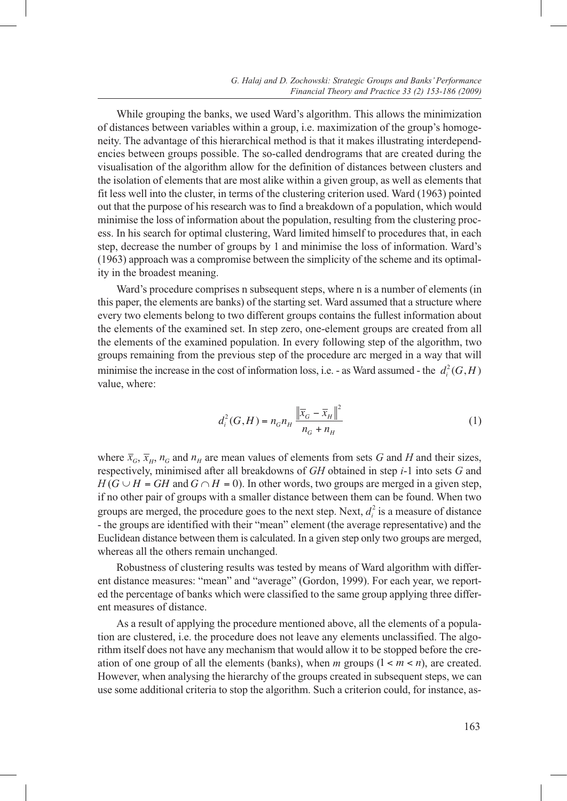While grouping the banks, we used Ward's algorithm. This allows the minimization of distances between variables within a group, i.e. maximization of the group's homogeneity. The advantage of this hierarchical method is that it makes illustrating interdependencies between groups possible. The so-called dendrograms that are created during the visualisation of the algorithm allow for the definition of distances between clusters and the isolation of elements that are most alike within a given group, as well as elements that fit less well into the cluster, in terms of the clustering criterion used. Ward (1963) pointed out that the purpose of his research was to find a breakdown of a population, which would minimise the loss of information about the population, resulting from the clustering process. In his search for optimal clustering, Ward limited himself to procedures that, in each step, decrease the number of groups by 1 and minimise the loss of information. Ward's (1963) approach was a compromise between the simplicity of the scheme and its optimality in the broadest meaning.

Ward's procedure comprises n subsequent steps, where n is a number of elements (in this paper, the elements are banks) of the starting set. Ward assumed that a structure where every two elements belong to two different groups contains the fullest information about the elements of the examined set. In step zero, one-element groups are created from all the elements of the examined population. In every following step of the algorithm, two groups remaining from the previous step of the procedure arc merged in a way that will minimise the increase in the cost of information loss, i.e. - as Ward assumed - the  $d_i^2(G, H)$ value, where:  $\frac{1}{2}$   $\frac{1}{2}$   $\frac{1}{2}$   $\frac{1}{2}$   $\frac{1}{2}$   $\frac{1}{2}$   $\frac{1}{2}$   $\frac{1}{2}$   $\frac{1}{2}$   $\frac{1}{2}$   $\frac{1}{2}$   $\frac{1}{2}$   $\frac{1}{2}$   $\frac{1}{2}$   $\frac{1}{2}$   $\frac{1}{2}$   $\frac{1}{2}$   $\frac{1}{2}$   $\frac{1}{2}$   $\frac{1}{2}$   $\frac{1}{2}$   $\frac{1}{2}$  *<sup>x</sup> <sup>x</sup> <sup>d</sup> <sup>G</sup> <sup>H</sup> <sup>n</sup> <sup>n</sup>*

$$
d_i^2(G, H) = n_G n_H \frac{\|\overline{x}_G - \overline{x}_H\|^2}{n_G + n_H}
$$
 (1)

(**1** *m n* ). Međutim, kada se analizira hijerarhija grupa formiranih u uzastopnim koracima, možemo se koristiti nekim dodatnim kriterijem za zaustavljanje algoritma. Takav bi kriterij mogao, na

(**1** *m n*). Međutim, kada se analizira hijerarhija grupa formiranih u uzastopnim koracima, možemo se koristiti nekim dodatnim kriterijem za zaustavljanje algoritma. Takav bi kriterij mogao, na

where  $\overline{x}_G$ ,  $\overline{x}_H$ ,  $n_G$  and  $n_H$  are mean values of elements from sets G and H and their sizes, respectively, minimised after all breakdowns of *GH* obtained in step *i*-1 into sets *G* and  $H(G \cup H = GH$  and  $G \cap H = 0$ ). In other words, two groups are merged in a given step, the first pair of groups with a smaller distance between them can be found. When two<br>groups are merged, the procedure goes to the next step. Next,  $d_i^2$  is a measure of distance - the groups are identified with their "mean" element (the average representative) and the  $\Gamma$ whereas all the others remain unchanged. if no other pair of groups with a smaller distance between them can be found. When two Euclidean distance between them is calculated. In a given step only two groups are merged,

Robustness of clustering results was tested by means of Ward algorithm with differed the percentage of banks which were classified to the same group applying three different distance measures: "mean" and "average" (Gordon, 1999). For each year, we reportent measures of distance.

As a result of applying the procedure mentioned above, all the elements of a popularithm itself does not have any mechanism that would allow it to be stopped before the creation of one group of all the elements (banks), when *m* groups  $(1 < m < n)$ , are created. nowever, when analysing the increasing of the groups created in subsequent steps, we can<br>use some additional criteria to stop the algorithm. Such a criterion could, for instance, astion are clustered, i.e. the procedure does not leave any elements unclassified. The algo-However, when analysing the hierarchy of the groups created in subsequent steps, we can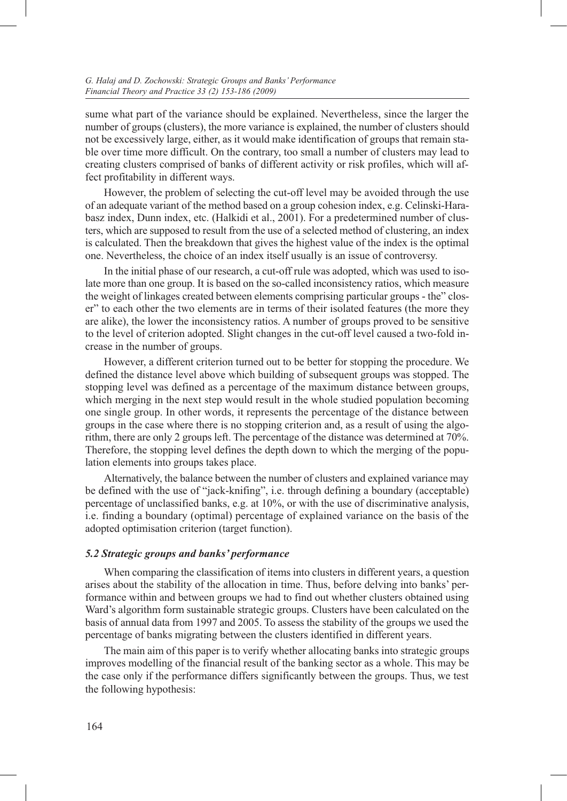sume what part of the variance should be explained. Nevertheless, since the larger the number of groups (clusters), the more variance is explained, the number of clusters should not be excessively large, either, as it would make identification of groups that remain stable over time more difficult. On the contrary, too small a number of clusters may lead to creating clusters comprised of banks of different activity or risk profiles, which will affect profitability in different ways.

However, the problem of selecting the cut-off level may be avoided through the use of an adequate variant of the method based on a group cohesion index, e.g. Celinski-Harabasz index, Dunn index, etc. (Halkidi et al., 2001). For a predetermined number of clusters, which are supposed to result from the use of a selected method of clustering, an index is calculated. Then the breakdown that gives the highest value of the index is the optimal one. Nevertheless, the choice of an index itself usually is an issue of controversy.

In the initial phase of our research, a cut-off rule was adopted, which was used to isolate more than one group. It is based on the so-called inconsistency ratios, which measure the weight of linkages created between elements comprising particular groups - the" closer" to each other the two elements are in terms of their isolated features (the more they are alike), the lower the inconsistency ratios. A number of groups proved to be sensitive to the level of criterion adopted. Slight changes in the cut-off level caused a two-fold increase in the number of groups.

However, a different criterion turned out to be better for stopping the procedure. We defined the distance level above which building of subsequent groups was stopped. The stopping level was defined as a percentage of the maximum distance between groups, which merging in the next step would result in the whole studied population becoming one single group. In other words, it represents the percentage of the distance between groups in the case where there is no stopping criterion and, as a result of using the algorithm, there are only 2 groups left. The percentage of the distance was determined at 70%. Therefore, the stopping level defines the depth down to which the merging of the population elements into groups takes place.

Alternatively, the balance between the number of clusters and explained variance may be defined with the use of "jack-knifing", i.e. through defining a boundary (acceptable) percentage of unclassified banks, e.g. at 10%, or with the use of discriminative analysis, i.e. finding a boundary (optimal) percentage of explained variance on the basis of the adopted optimisation criterion (target function).

#### *5.2 Strategic groups and banks' performance*

When comparing the classification of items into clusters in different years, a question arises about the stability of the allocation in time. Thus, before delving into banks' performance within and between groups we had to find out whether clusters obtained using Ward's algorithm form sustainable strategic groups. Clusters have been calculated on the basis of annual data from 1997 and 2005. To assess the stability of the groups we used the percentage of banks migrating between the clusters identified in different years.

The main aim of this paper is to verify whether allocating banks into strategic groups improves modelling of the financial result of the banking sector as a whole. This may be the case only if the performance differs significantly between the groups. Thus, we test the following hypothesis: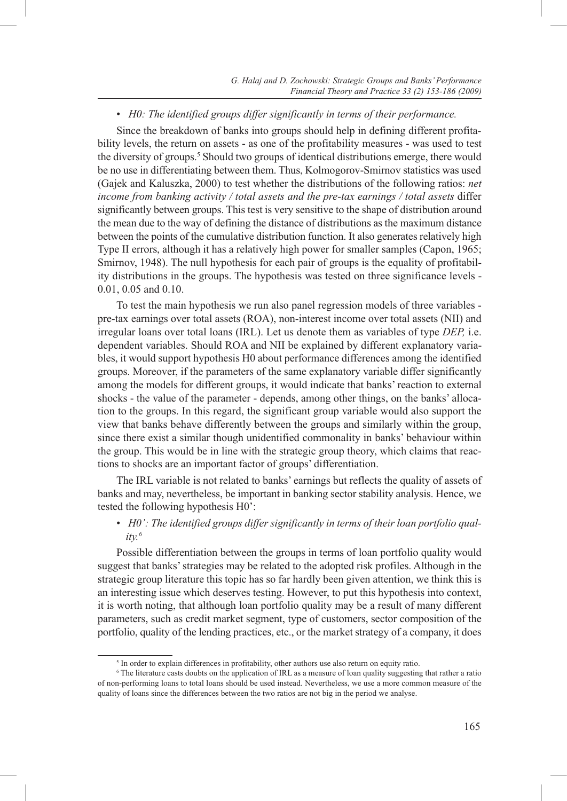#### • *H0: The identified groups differ significantly in terms of their performance.*

Since the breakdown of banks into groups should help in defining different profitability levels, the return on assets - as one of the profitability measures - was used to test the diversity of groups.<sup>5</sup> Should two groups of identical distributions emerge, there would be no use in differentiating between them. Thus, Kolmogorov-Smirnov statistics was used (Gajek and Kaluszka, 2000) to test whether the distributions of the following ratios: *net income from banking activity / total assets and the pre-tax earnings / total assets* differ significantly between groups. This test is very sensitive to the shape of distribution around the mean due to the way of defining the distance of distributions as the maximum distance between the points of the cumulative distribution function. It also generates relatively high Type II errors, although it has a relatively high power for smaller samples (Capon, 1965; Smirnov, 1948). The null hypothesis for each pair of groups is the equality of profitability distributions in the groups. The hypothesis was tested on three significance levels - 0.01, 0.05 and 0.10.

To test the main hypothesis we run also panel regression models of three variables pre-tax earnings over total assets (ROA), non-interest income over total assets (NII) and irregular loans over total loans (IRL). Let us denote them as variables of type *DEP,* i.e. dependent variables. Should ROA and NII be explained by different explanatory variables, it would support hypothesis H0 about performance differences among the identified groups. Moreover, if the parameters of the same explanatory variable differ significantly among the models for different groups, it would indicate that banks' reaction to external shocks - the value of the parameter - depends, among other things, on the banks' allocation to the groups. In this regard, the significant group variable would also support the view that banks behave differently between the groups and similarly within the group, since there exist a similar though unidentified commonality in banks' behaviour within the group. This would be in line with the strategic group theory, which claims that reactions to shocks are an important factor of groups' differentiation.

The IRL variable is not related to banks' earnings but reflects the quality of assets of banks and may, nevertheless, be important in banking sector stability analysis. Hence, we tested the following hypothesis H0':

• *H0'*: The identified groups differ significantly in terms of their loan portfolio qual*ity.6*

Possible differentiation between the groups in terms of loan portfolio quality would suggest that banks' strategies may be related to the adopted risk profiles. Although in the strategic group literature this topic has so far hardly been given attention, we think this is an interesting issue which deserves testing. However, to put this hypothesis into context, it is worth noting, that although loan portfolio quality may be a result of many different parameters, such as credit market segment, type of customers, sector composition of the portfolio, quality of the lending practices, etc., or the market strategy of a company, it does

<sup>&</sup>lt;sup>5</sup> In order to explain differences in profitability, other authors use also return on equity ratio.

<sup>6</sup> The literature casts doubts on the application of IRL as a measure of loan quality suggesting that rather a ratio of non-performing loans to total loans should be used instead. Nevertheless, we use a more common measure of the quality of loans since the differences between the two ratios are not big in the period we analyse.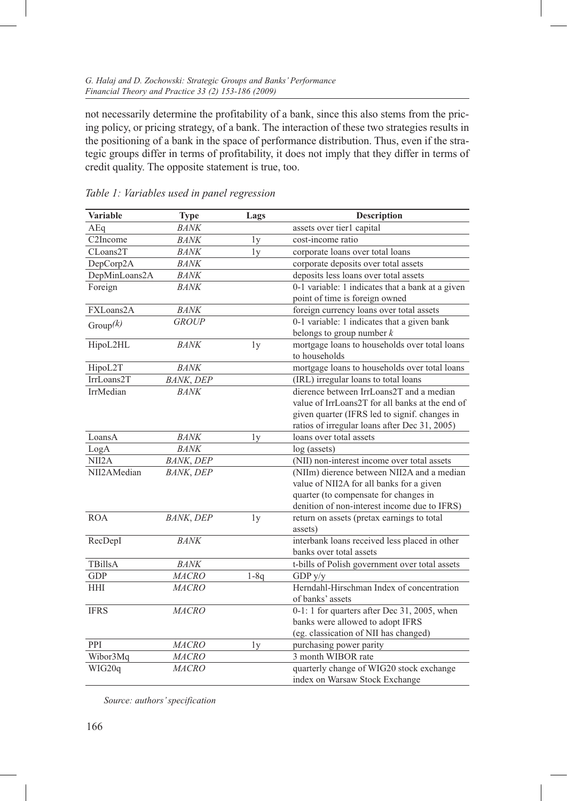not necessarily determine the profitability of a bank, since this also stems from the pricing policy, or pricing strategy, of a bank. The interaction of these two strategies results in the positioning of a bank in the space of performance distribution. Thus, even if the strategic groups differ in terms of profitability, it does not imply that they differ in terms of credit quality. The opposite statement is true, too.

| <b>Variable</b>    | <b>Type</b>      | Lags           | <b>Description</b>                               |
|--------------------|------------------|----------------|--------------------------------------------------|
| AEq                | <b>BANK</b>      |                | assets over tier1 capital                        |
| C2Income           | <i>BANK</i>      | 1y             | cost-income ratio                                |
| CLoans2T           | <b>BANK</b>      | 1 <sub>y</sub> | corporate loans over total loans                 |
| DepCorp2A          | BANK             |                | corporate deposits over total assets             |
| DepMinLoans2A      | <b>BANK</b>      |                | deposits less loans over total assets            |
| Foreign            | BANK             |                | 0-1 variable: 1 indicates that a bank at a given |
|                    |                  |                | point of time is foreign owned                   |
| FXLoans2A          | <b>BANK</b>      |                | foreign currency loans over total assets         |
| Group(k)           | <b>GROUP</b>     |                | 0-1 variable: 1 indicates that a given bank      |
|                    |                  |                | belongs to group number $k$                      |
| HipoL2HL           | <b>BANK</b>      | 1y             | mortgage loans to households over total loans    |
|                    |                  |                | to households                                    |
| HipoL2T            | <b>BANK</b>      |                | mortgage loans to households over total loans    |
| IrrLoans2T         | <b>BANK, DEP</b> |                | (IRL) irregular loans to total loans             |
| IrrMedian          | <b>BANK</b>      |                | dierence between IrrLoans2T and a median         |
|                    |                  |                | value of IrrLoans2T for all banks at the end of  |
|                    |                  |                | given quarter (IFRS led to signif. changes in    |
|                    |                  |                | ratios of irregular loans after Dec 31, 2005)    |
| LoansA             | <b>BANK</b>      | 1 <sub>y</sub> | loans over total assets                          |
| LogA               | <b>BANK</b>      |                | log (assets)                                     |
| NII <sub>2</sub> A | <b>BANK, DEP</b> |                | (NII) non-interest income over total assets      |
| NII2AMedian        | <b>BANK, DEP</b> |                | (NIIm) dierence between NII2A and a median       |
|                    |                  |                | value of NII2A for all banks for a given         |
|                    |                  |                | quarter (to compensate for changes in            |
|                    |                  |                | denition of non-interest income due to IFRS)     |
| <b>ROA</b>         | <b>BANK, DEP</b> | 1 <sub>y</sub> | return on assets (pretax earnings to total       |
|                    |                  |                | assets)                                          |
| RecDepI            | BANK             |                | interbank loans received less placed in other    |
|                    |                  |                | banks over total assets                          |
| <b>TBillsA</b>     | <b>BANK</b>      |                | t-bills of Polish government over total assets   |
| <b>GDP</b>         | <b>MACRO</b>     | $1-8q$         | $GDP$ y/y                                        |
| <b>HHI</b>         | <i>MACRO</i>     |                | Herndahl-Hirschman Index of concentration        |
|                    |                  |                | of banks' assets                                 |
| <b>IFRS</b>        | <b>MACRO</b>     |                | 0-1: 1 for quarters after Dec 31, 2005, when     |
|                    |                  |                | banks were allowed to adopt IFRS                 |
|                    |                  |                | (eg. classication of NII has changed)            |
| PPI                | <b>MACRO</b>     | 1y             | purchasing power parity                          |
| Wibor3Mq           | <i>MACRO</i>     |                | 3 month WIBOR rate                               |
| WIG20q             | <i>MACRO</i>     |                | quarterly change of WIG20 stock exchange         |
|                    |                  |                | index on Warsaw Stock Exchange                   |

|  |  |  |  | Table 1: Variables used in panel regression |
|--|--|--|--|---------------------------------------------|
|--|--|--|--|---------------------------------------------|

*Source: authors' specification*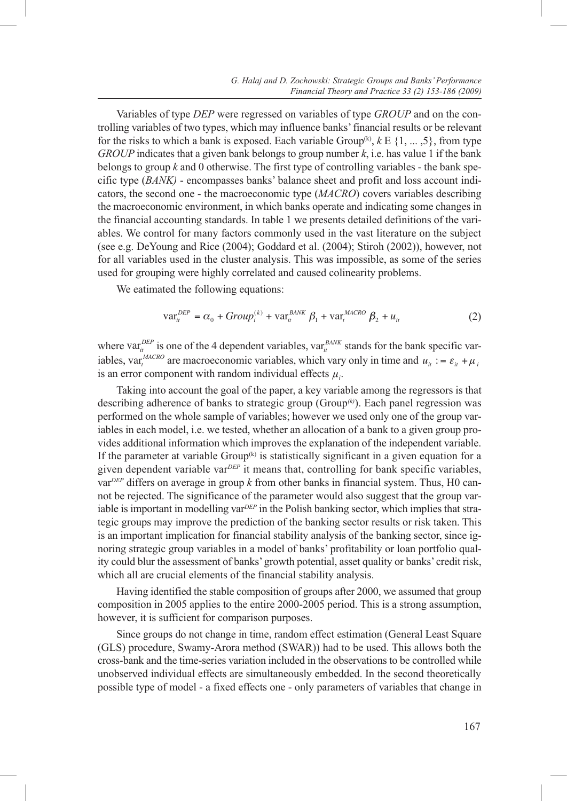Variables of type *DEP* were regressed on variables of type *GROUP* and on the controlling variables of two types, which may influence banks' financial results or be relevant for the risks to which a bank is exposed. Each variable Group<sup>(k)</sup>,  $k \in \{1, ..., 5\}$ , from type *GROUP* indicates that a given bank belongs to group number *k*, i.e. has value 1 if the bank belongs to group *k* and 0 otherwise. The first type of controlling variables - the bank specific type (*BANK)* - encompasses banks' balance sheet and profit and loss account indicators, the second one - the macroeconomic type (*MACRO*) covers variables describing the macroeconomic environment, in which banks operate and indicating some changes in the financial accounting standards. In table 1 we presents detailed definitions of the variables. We control for many factors commonly used in the vast literature on the subject (see e.g. DeYoung and Rice (2004); Goddard et al. (2004); Stiroh (2002)), however, not for all variables used in the cluster analysis. This was impossible, as some of the series used for grouping were highly correlated and caused colinearity problems.

We eatimated the following equations:

$$
\text{var}_{it}^{DEF} = \alpha_0 + Group_i^{(k)} + \text{var}_{it}^{BANK} \beta_1 + \text{var}_i^{MACRO} \beta_2 + u_{it}
$$
 (2)

where  $var_i^{DEF}$  is one of the 4 dependent variables,  $var_i^{BANK}$  stands for the bank specific variables, var<sub>*t*</sub><sup>*MACRO*</sup> are macroeconomic variables, which vary only in time and  $u_{it} := \varepsilon_{it} + \mu_{it}$ is an error component with random individual effects  $\mu_i$ .

Taking into account the goal of the paper, a key variable among the regressors is that describing adherence of banks to strategic group (Group*(k)*). Each panel regression was performed on the whole sample of variables; however we used only one of the group variables in each model, i.e. we tested, whether an allocation of a bank to a given group provides additional information which improves the explanation of the independent variable. If the parameter at variable  $Group^{(k)}$  is statistically significant in a given equation for a given dependent variable var<sup>DEP</sup> it means that, controlling for bank specific variables, var<sup>DEP</sup> differs on average in group *k* from other banks in financial system. Thus, H0 cannot be rejected. The significance of the parameter would also suggest that the group variable is important in modelling var<sup>DEP</sup> in the Polish banking sector, which implies that strategic groups may improve the prediction of the banking sector results or risk taken. This is an important implication for financial stability analysis of the banking sector, since ignoring strategic group variables in a model of banks' profitability or loan portfolio quality could blur the assessment of banks' growth potential, asset quality or banks' credit risk, which all are crucial elements of the financial stability analysis.

Having identified the stable composition of groups after 2000, we assumed that group composition in 2005 applies to the entire 2000-2005 period. This is a strong assumption, however, it is sufficient for comparison purposes.

Since groups do not change in time, random effect estimation (General Least Square (GLS) procedure, Swamy-Arora method (SWAR)) had to be used. This allows both the cross-bank and the time-series variation included in the observations to be controlled while unobserved individual effects are simultaneously embedded. In the second theoretically possible type of model - a fixed effects one - only parameters of variables that change in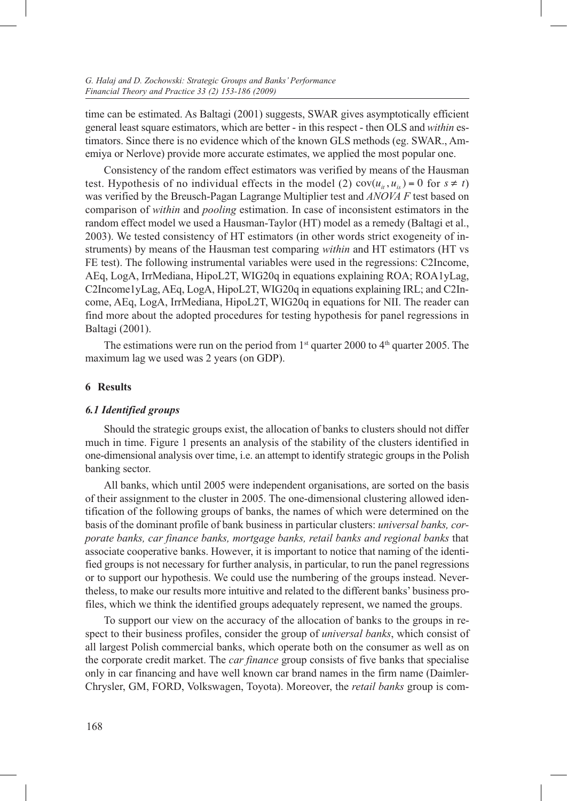time can be estimated. As Baltagi (2001) suggests, SWAR gives asymptotically efficient general least square estimators, which are better - in this respect - then OLS and *within* estimators. Since there is no evidence which of the known GLS methods (eg. SWAR., Amemiya or Nerlove) provide more accurate estimates, we applied the most popular one.

Consistency of the random effect estimators was verified by means of the Hausman test. Hypothesis of no individual effects in the model (2)  $cov(u_{u}, u_{u}) = 0$  for  $s \neq t$ ) was verified by the Breusch-Pagan Lagrange Multiplier test and *ANOVA F* test based on comparison of *within* and *pooling* estimation. In case of inconsistent estimators in the random effect model we used a Hausman-Taylor (HT) model as a remedy (Baltagi et al., 2003). We tested consistency of HT estimators (in other words strict exogeneity of instruments) by means of the Hausman test comparing *within* and HT estimators (HT vs FE test). The following instrumental variables were used in the regressions: C2Income, AEq, LogA, IrrMediana, HipoL2T, WIG20q in equations explaining ROA; ROA1yLag, C2Income1yLag, AEq, LogA, HipoL2T, WIG20q in equations explaining IRL; and C2Income, AEq, LogA, IrrMediana, HipoL2T, WIG20q in equations for NII. The reader can find more about the adopted procedures for testing hypothesis for panel regressions in Baltagi (2001).

The estimations were run on the period from  $1<sup>st</sup>$  quarter 2000 to  $4<sup>th</sup>$  quarter 2005. The maximum lag we used was 2 years (on GDP).

### **6 Results**

#### *6.1 Identified groups*

Should the strategic groups exist, the allocation of banks to clusters should not differ much in time. Figure 1 presents an analysis of the stability of the clusters identified in one-dimensional analysis over time, i.e. an attempt to identify strategic groups in the Polish banking sector.

All banks, which until 2005 were independent organisations, are sorted on the basis of their assignment to the cluster in 2005. The one-dimensional clustering allowed identification of the following groups of banks, the names of which were determined on the basis of the dominant profile of bank business in particular clusters: *universal banks, corporate banks, car finance banks, mortgage banks, retail banks and regional banks* that associate cooperative banks. However, it is important to notice that naming of the identified groups is not necessary for further analysis, in particular, to run the panel regressions or to support our hypothesis. We could use the numbering of the groups instead. Nevertheless, to make our results more intuitive and related to the different banks' business profiles, which we think the identified groups adequately represent, we named the groups.

To support our view on the accuracy of the allocation of banks to the groups in respect to their business profiles, consider the group of *universal banks*, which consist of all largest Polish commercial banks, which operate both on the consumer as well as on the corporate credit market. The *car finance* group consists of five banks that specialise only in car financing and have well known car brand names in the firm name (Daimler-Chrysler, GM, FORD, Volkswagen, Toyota). Moreover, the *retail banks* group is com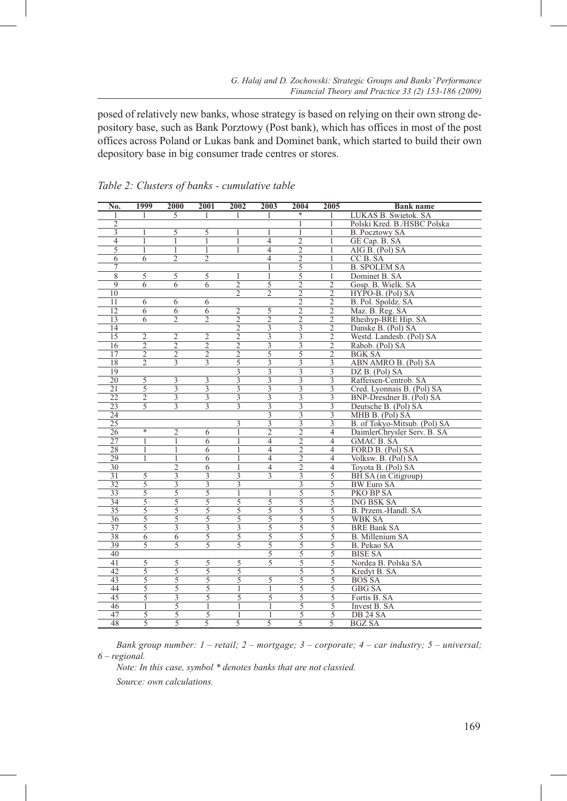posed of relatively new banks, whose strategy is based on relying on their own strong depository base, such as Bank Porztowy (Post bank), which has offices in most of the post offices across Poland or Lukas bank and Dominet bank, which started to build their own depository base in big consumer trade centres or stores.

| No.             | 1999           | 2000                    | 2001                    | 2002                    | 2003                    | 2004                      | 2005                    | <b>Bank name</b>             |
|-----------------|----------------|-------------------------|-------------------------|-------------------------|-------------------------|---------------------------|-------------------------|------------------------------|
|                 |                | 5                       | 1                       | 1                       |                         | *                         |                         | LUKAS B. Swietok. SA         |
| $\overline{2}$  |                |                         |                         |                         |                         |                           | 1                       | Polski Kred. B./HSBC Polska  |
| 3               | 1              | 5                       | 5                       | 1                       | 1                       | 1                         | 1                       | <b>B. Pocztowy SA</b>        |
| $\overline{4}$  | 1              | 1                       | 1                       | 1                       | 4                       | $\overline{c}$            | 1                       | GE Cap. B. SA                |
| 5               | 1              | 1                       | 1                       | 1                       | 4                       | 2                         | 1                       | AIG B. (Pol) SA              |
| 6               | 6              | $\overline{2}$          | $\overline{2}$          |                         | 4                       | $\overline{2}$            | 1                       | CCB. SA                      |
| 7               |                |                         |                         |                         | 1                       | 5                         | 1                       | <b>B. SPOLEM SA</b>          |
| $\overline{8}$  | 5              | 5                       | 5                       | 1                       | 1                       | 5                         | 1                       | Dominet B. SA                |
| 9               | 6              | 6                       | 6                       | $\overline{2}$          | 5                       | $\overline{2}$            | $\mathfrak{2}$          | Gosp. B. Wielk. SA           |
| 10              |                |                         |                         | $\overline{2}$          | $\overline{2}$          | $\overline{2}$            | $\overline{2}$          | HYPO-B. (Pol) SA             |
| 11              | 6              | 6                       | 6                       |                         |                         | $\overline{c}$            | $\overline{2}$          | B. Pol. Spoldz. SA           |
| 12              | 6              | 6                       | 6                       | $\overline{2}$          | 5                       | $\overline{2}$            | $\overline{2}$          | Maz. B. Reg. SA              |
| $\overline{13}$ | 6              | $\overline{2}$          | $\overline{2}$          | $\overline{2}$          | $\overline{2}$          | $\overline{2}$            | $\overline{2}$          | Rheihyp-BRE Hip. SA          |
| 14              |                |                         |                         | $\overline{2}$          | 3                       | 3                         | $\overline{2}$          | Danske B. (Pol) SA           |
| 15              | $\overline{c}$ | 2                       | $\overline{2}$          | $\overline{c}$          | 3                       | 3                         | $\overline{2}$          | Westd. Landesb. (Pol) SA     |
| 16              | $\mathfrak{2}$ | $\overline{2}$          | $\overline{2}$          | $\overline{c}$          | 3                       | 3                         | 2                       | Rabob. (Pol) SA              |
| 17              | $\overline{2}$ | $\overline{c}$          | $\overline{2}$          | $\overline{2}$          | 5                       | 5                         | $\overline{2}$          | <b>BGK SA</b>                |
| 18              | $\overline{c}$ | 3                       | 3                       | 5                       | 3                       | 3                         | 3                       | ABN AMRO B. (Pol) SA         |
| 19              |                |                         |                         | 3                       | 3                       | 3                         | 3                       | DZ B. (Pol) SA               |
| 20              | 5              | 3                       | 3                       | 3                       | 3                       | 3                         | 3                       | Raffeisen-Centrob. SA        |
| 21              | $\overline{5}$ | 3                       | 3                       | 3                       | 3                       | 3                         | 3                       | Cred. Lyonnais B. (Pol) SA   |
| 22              | $\overline{2}$ | 3                       | 3                       | 3                       | 3                       | 3                         | 3                       | BNP-Dresdner B. (Pol) SA     |
| 23              | 5              | 3                       | 3                       | 3                       | 3                       | 3                         | 3                       | Deutsche B. (Pol) SA         |
| 24              |                |                         |                         |                         | 3                       | 3                         | 3                       | MHB B. (Pol) SA              |
| 25              |                |                         |                         | 3                       | 3                       | $\overline{\overline{3}}$ | $\overline{\mathbf{3}}$ | B. of Tokyo-Mitsub. (Pol) SA |
| 26              | *              | 2                       | 6                       | 1                       | $\overline{2}$          | $\overline{2}$            | 4                       | DaimlerChrysler Serv. B. SA  |
| 27              | 1              | $\mathbf{1}$            | 6                       | 1                       | $\overline{4}$          | $\overline{2}$            | $\overline{4}$          | <b>GMAC B. SA</b>            |
| 28              | 1              | 1                       | 6                       | 1                       | $\overline{4}$          | $\overline{2}$            | 4                       | FORD B. (Pol) SA             |
| 29              | 1              | 1                       | 6                       | 1                       | $\overline{4}$          | $\overline{2}$            | $\overline{4}$          | Volksw. B. (Pol) SA          |
| 30              |                | $\overline{2}$          | 6                       | 1                       | $\overline{4}$          | $\overline{2}$            | 4                       | Toyota B. (Pol) SA           |
| $\overline{31}$ | 5              | $\overline{\mathbf{3}}$ | $\overline{\mathbf{3}}$ | $\overline{\mathbf{3}}$ | $\overline{\mathbf{3}}$ | $\overline{\overline{3}}$ | $\overline{5}$          | BH SA (in Citigroup)         |
| 32              | 5              | $\overline{\mathbf{3}}$ | $\overline{\mathbf{3}}$ | $\overline{\mathbf{3}}$ |                         | $\overline{\mathbf{3}}$   | 5                       | <b>BW Euro SA</b>            |
| 33              | 5              | 5                       | 5                       | 1                       | 1                       | 5                         | $\overline{5}$          | PKO BP SA                    |
| $\overline{34}$ | 5              | 5                       | 5                       | 5                       | $\overline{5}$          | 5                         | 5                       | <b>ING BSK SA</b>            |
| 35              | 5              | 5                       | 5                       | 5                       | $\overline{5}$          | 5                         | 5                       | B. Przem.-Handl. SA          |
| 36              | 5              | 5                       | 5                       | 5                       | $\overline{5}$          | 5                         | 5                       | <b>WBK SA</b>                |
| 37              | 5              | 3                       | 3                       | 3                       | 5                       | 5                         | 5                       | <b>BRE Bank SA</b>           |
| 38              | 6              | 6                       | 5                       | 5                       | 5                       | 5                         | 5                       | <b>B.</b> Millenium SA       |
| 39              | 5              | 5                       | 5                       | 5                       | 5                       | 5                         | 5                       | B. Pekao SA                  |
| 40              |                |                         |                         |                         | 5                       | 5                         | 5                       | <b>BISE SA</b>               |
| 41              | 5              | 5                       | 5                       | 5                       | 5                       | 5                         | 5                       | Nordea B. Polska SA          |
| 42              | 5              | 5                       | 5                       | 5                       |                         | 5                         | 5                       | Kredyt B. SA                 |
| 43              | 5              | 5                       | 5                       | 5                       | 5                       | 5                         | 5                       | <b>BOS SA</b>                |
| 44              | 5              | 5                       | 5                       | 1                       | 1                       | 5                         | 5                       | <b>GBG SA</b>                |
| 45              | 5              | 3                       | 5                       | 5                       | 5                       | 5                         | 5                       | Fortis B. SA                 |
| 46              | 1              | 5                       | 1                       | 1                       | 1                       | 5                         | 5                       | Invest B. SA                 |
| 47              | 5              | 5                       | 5                       | 1                       | 1                       | 5                         | $\overline{5}$          | <b>DB 24 SA</b>              |
| 48              | 5              | 5                       | 5                       | 5                       | 5                       | 5                         | 5                       | <b>BGZ SA</b>                |

*Table 2: Clusters of banks - cumulative table*

*Bank group number: 1 – retail; 2 – mortgage; 3 – corporate; 4 – car industry; 5 – universal; 6 – regional.*

*Note: In this case, symbol \* denotes banks that are not classied.*

*Source: own calculations.*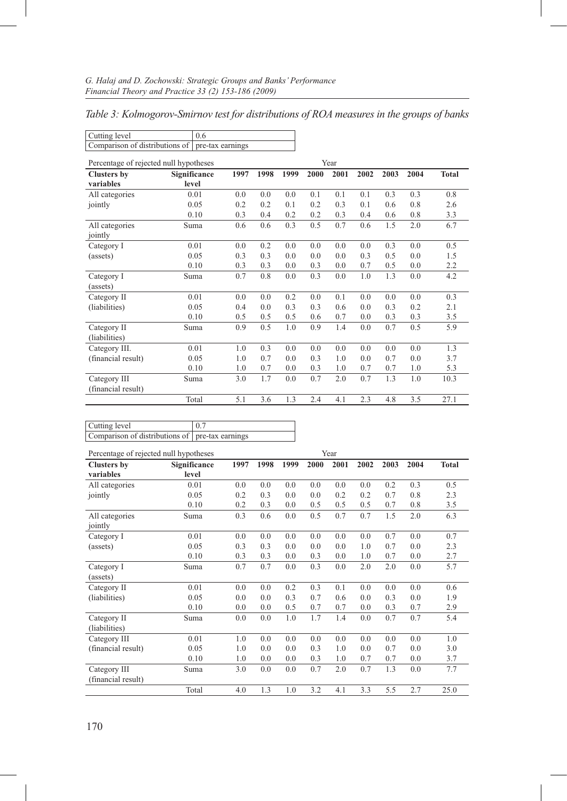| Cutting level                          | 0.6              |      |      |      |      |      |      |      |      |              |
|----------------------------------------|------------------|------|------|------|------|------|------|------|------|--------------|
| Comparison of distributions of         | pre-tax earnings |      |      |      |      |      |      |      |      |              |
| Percentage of rejected null hypotheses |                  |      |      |      |      | Year |      |      |      |              |
| <b>Clusters</b> by                     | Significance     | 1997 | 1998 | 1999 | 2000 | 2001 | 2002 | 2003 | 2004 | <b>Total</b> |
| variables                              | level            |      |      |      |      |      |      |      |      |              |
| All categories                         | 0.01             | 0.0  | 0.0  | 0.0  | 0.1  | 0.1  | 0.1  | 0.3  | 0.3  | 0.8          |
| jointly                                | 0.05             | 0.2  | 0.2  | 0.1  | 0.2  | 0.3  | 0.1  | 0.6  | 0.8  | 2.6          |
|                                        | 0.10             | 0.3  | 0.4  | 0.2  | 0.2  | 0.3  | 0.4  | 0.6  | 0.8  | 3.3          |
| All categories                         | Suma             | 0.6  | 0.6  | 0.3  | 0.5  | 0.7  | 0.6  | 1.5  | 2.0  | 6.7          |
| jointly                                |                  |      |      |      |      |      |      |      |      |              |
| Category I                             | 0.01             | 0.0  | 0.2  | 0.0  | 0.0  | 0.0  | 0.0  | 0.3  | 0.0  | 0.5          |
| (assets)                               | 0.05             | 0.3  | 0.3  | 0.0  | 0.0  | 0.0  | 0.3  | 0.5  | 0.0  | 1.5          |
|                                        | 0.10             | 0.3  | 0.3  | 0.0  | 0.3  | 0.0  | 0.7  | 0.5  | 0.0  | 2.2          |
| Category I                             | Suma             | 0.7  | 0.8  | 0.0  | 0.3  | 0.0  | 1.0  | 1.3  | 0.0  | 4.2          |
| (assets)                               |                  |      |      |      |      |      |      |      |      |              |
| Category II                            | 0.01             | 0.0  | 0.0  | 0.2  | 0.0  | 0.1  | 0.0  | 0.0  | 0.0  | 0.3          |
| (liabilities)                          | 0.05             | 0.4  | 0.0  | 0.3  | 0.3  | 0.6  | 0.0  | 0.3  | 0.2  | 2.1          |
|                                        | 0.10             | 0.5  | 0.5  | 0.5  | 0.6  | 0.7  | 0.0  | 0.3  | 0.3  | 3.5          |
| Category II                            | Suma             | 0.9  | 0.5  | 1.0  | 0.9  | 1.4  | 0.0  | 0.7  | 0.5  | 5.9          |
| (liabilities)                          |                  |      |      |      |      |      |      |      |      |              |
| Category III.                          | 0.01             | 1.0  | 0.3  | 0.0  | 0.0  | 0.0  | 0.0  | 0.0  | 0.0  | 1.3          |
| (financial result)                     | 0.05             | 1.0  | 0.7  | 0.0  | 0.3  | 1.0  | 0.0  | 0.7  | 0.0  | 3.7          |
|                                        | 0.10             | 1.0  | 0.7  | 0.0  | 0.3  | 1.0  | 0.7  | 0.7  | 1.0  | 5.3          |
| Category III                           | Suma             | 3.0  | 1.7  | 0.0  | 0.7  | 2.0  | 0.7  | 1.3  | 1.0  | 10.3         |
| (financial result)                     |                  |      |      |      |      |      |      |      |      |              |
|                                        | Total            | 5.1  | 3.6  | 1.3  | 2.4  | 4.1  | 2.3  | 4.8  | 3.5  | 27.1         |

*Table 3: Kolmogorov-Smirnov test for distributions of ROA measures in the groups of banks*

 $\overline{1}$ 

| Cutting level                                   | 0.7 |
|-------------------------------------------------|-----|
| Comparison of distributions of pre-tax earnings |     |

| Percentage of rejected null hypotheses |                       |      |      |      |      | Year |      |      |      |              |
|----------------------------------------|-----------------------|------|------|------|------|------|------|------|------|--------------|
| <b>Clusters by</b><br>variables        | Significance<br>level | 1997 | 1998 | 1999 | 2000 | 2001 | 2002 | 2003 | 2004 | <b>Total</b> |
| All categories                         | 0.01                  | 0.0  | 0.0  | 0.0  | 0.0  | 0.0  | 0.0  | 0.2  | 0.3  | 0.5          |
| jointly                                | 0.05                  | 0.2  | 0.3  | 0.0  | 0.0  | 0.2  | 0.2  | 0.7  | 0.8  | 2.3          |
|                                        | 0.10                  | 0.2  | 0.3  | 0.0  | 0.5  | 0.5  | 0.5  | 0.7  | 0.8  | 3.5          |
| All categories                         | Suma                  | 0.3  | 0.6  | 0.0  | 0.5  | 0.7  | 0.7  | 1.5  | 2.0  | 6.3          |
| jointly                                |                       |      |      |      |      |      |      |      |      |              |
| Category I                             | 0.01                  | 0.0  | 0.0  | 0.0  | 0.0  | 0.0  | 0.0  | 0.7  | 0.0  | 0.7          |
| (assets)                               | 0.05                  | 0.3  | 0.3  | 0.0  | 0.0  | 0.0  | 1.0  | 0.7  | 0.0  | 2.3          |
|                                        | 0.10                  | 0.3  | 0.3  | 0.0  | 0.3  | 0.0  | 1.0  | 0.7  | 0.0  | 2.7          |
| Category I                             | Suma                  | 0.7  | 0.7  | 0.0  | 0.3  | 0.0  | 2.0  | 2.0  | 0.0  | 5.7          |
| (assets)                               |                       |      |      |      |      |      |      |      |      |              |
| Category II                            | 0.01                  | 0.0  | 0.0  | 0.2  | 0.3  | 0.1  | 0.0  | 0.0  | 0.0  | 0.6          |
| (liabilities)                          | 0.05                  | 0.0  | 0.0  | 0.3  | 0.7  | 0.6  | 0.0  | 0.3  | 0.0  | 1.9          |
|                                        | 0.10                  | 0.0  | 0.0  | 0.5  | 0.7  | 0.7  | 0.0  | 0.3  | 0.7  | 2.9          |
| Category II                            | Suma                  | 0.0  | 0.0  | 1.0  | 1.7  | 1.4  | 0.0  | 0.7  | 0.7  | 5.4          |
| (liabilities)                          |                       |      |      |      |      |      |      |      |      |              |
| Category III                           | 0.01                  | 1.0  | 0.0  | 0.0  | 0.0  | 0.0  | 0.0  | 0.0  | 0.0  | 1.0          |
| (financial result)                     | 0.05                  | 1.0  | 0.0  | 0.0  | 0.3  | 1.0  | 0.0  | 0.7  | 0.0  | 3.0          |
|                                        | 0.10                  | 1.0  | 0.0  | 0.0  | 0.3  | 1.0  | 0.7  | 0.7  | 0.0  | 3.7          |
| Category III                           | Suma                  | 3.0  | 0.0  | 0.0  | 0.7  | 2.0  | 0.7  | 1.3  | 0.0  | 7.7          |
| (financial result)                     |                       |      |      |      |      |      |      |      |      |              |
|                                        | Total                 | 4.0  | 1.3  | 1.0  | 3.2  | 4.1  | 3.3  | 5.5  | 2.7  | 25.0         |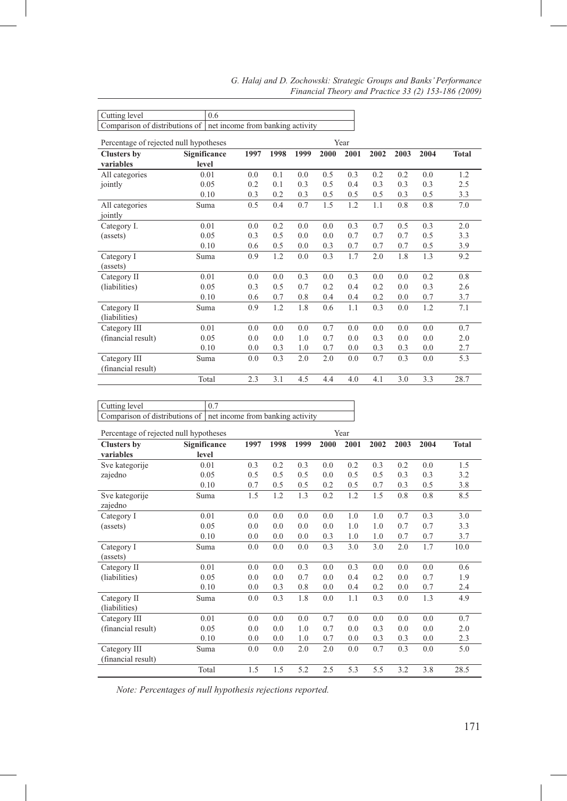| Cutting level                                 | 0.6          |                                  |      |      |      |      |      |      |      |              |
|-----------------------------------------------|--------------|----------------------------------|------|------|------|------|------|------|------|--------------|
| Comparison of distributions of                |              | net income from banking activity |      |      |      |      |      |      |      |              |
|                                               |              |                                  |      |      |      |      |      |      |      |              |
| Percentage of rejected null hypotheses        |              |                                  |      |      |      | Year |      |      |      |              |
| <b>Clusters by</b>                            | Significance | 1997                             | 1998 | 1999 | 2000 | 2001 | 2002 | 2003 | 2004 | <b>Total</b> |
| variables                                     | level        |                                  |      |      |      |      |      |      |      |              |
| All categories                                | 0.01         | 0.0                              | 0.1  | 0.0  | 0.5  | 0.3  | 0.2  | 0.2  | 0.0  | 1.2          |
| jointly                                       | 0.05         | 0.2                              | 0.1  | 0.3  | 0.5  | 0.4  | 0.3  | 0.3  | 0.3  | 2.5          |
|                                               | 0.10         | 0.3                              | 0.2  | 0.3  | 0.5  | 0.5  | 0.5  | 0.3  | 0.5  | 3.3          |
|                                               | Suma         | 0.5                              | 0.4  | 0.7  | 1.5  | 1.2  | 1.1  | 0.8  | 0.8  | 7.0          |
| jointly                                       |              |                                  |      |      |      |      |      |      |      |              |
| Category I.                                   | 0.01         | 0.0                              | 0.2  | 0.0  | 0.0  | 0.3  | 0.7  | 0.5  | 0.3  | 2.0          |
| (assets)                                      | 0.05         | 0.3                              | 0.5  | 0.0  | 0.0  | 0.7  | 0.7  | 0.7  | 0.5  | 3.3          |
|                                               | 0.10         | 0.6                              | 0.5  | 0.0  | 0.3  | 0.7  | 0.7  | 0.7  | 0.5  | 3.9          |
| Category I                                    | Suma         | 0.9                              | 1.2  | 0.0  | 0.3  | 1.7  | 2.0  | 1.8  | 1.3  | 9.2          |
| (assets)                                      |              |                                  |      |      |      |      |      |      |      |              |
| Category II                                   | 0.01         | 0.0                              | 0.0  | 0.3  | 0.0  | 0.3  | 0.0  | 0.0  | 0.2  | 0.8          |
| (liabilities)                                 | 0.05         | 0.3                              | 0.5  | 0.7  | 0.2  | 0.4  | 0.2  | 0.0  | 0.3  | 2.6          |
|                                               | 0.10         | 0.6                              | 0.7  | 0.8  | 0.4  | 0.4  | 0.2  | 0.0  | 0.7  | 3.7          |
|                                               | Suma         | 0.9                              | 1.2  | 1.8  | 0.6  | 1.1  | 0.3  | 0.0  | 1.2  | 7.1          |
| (liabilities)                                 |              |                                  |      |      |      |      |      |      |      |              |
| Category III                                  | 0.01         | 0.0                              | 0.0  | 0.0  | 0.7  | 0.0  | 0.0  | 0.0  | 0.0  | 0.7          |
| (financial result)                            | 0.05         | 0.0                              | 0.0  | 1.0  | 0.7  | 0.0  | 0.3  | 0.0  | 0.0  | 2.0          |
|                                               | 0.10         | 0.0                              | 0.3  | 1.0  | 0.7  | 0.0  | 0.3  | 0.3  | 0.0  | 2.7          |
|                                               | Suma         | 0.0                              | 0.3  | 2.0  | 2.0  | 0.0  | 0.7  | 0.3  | 0.0  | 5.3          |
| (financial result)                            |              |                                  |      |      |      |      |      |      |      |              |
|                                               | Total        | 2.3                              | 3.1  | 4.5  | 4.4  | 4.0  | 4.1  | 3.0  | 3.3  | 28.7         |
| All categories<br>Category II<br>Category III |              |                                  |      |      |      |      |      |      |      |              |

| G. Halaj and D. Zochowski: Strategic Groups and Banks' Performance |
|--------------------------------------------------------------------|
| Financial Theory and Practice 33 (2) 153-186 (2009)                |

| Cutting level | $\vert 0.7$                                                       |
|---------------|-------------------------------------------------------------------|
|               | Comparison of distributions of   net income from banking activity |

| Percentage of rejected null hypotheses |              |      |      |      |      | Year |      |      |      |              |
|----------------------------------------|--------------|------|------|------|------|------|------|------|------|--------------|
| <b>Clusters by</b>                     | Significance | 1997 | 1998 | 1999 | 2000 | 2001 | 2002 | 2003 | 2004 | <b>Total</b> |
| variables                              | level        |      |      |      |      |      |      |      |      |              |
| Sve kategorije                         | 0.01         | 0.3  | 0.2  | 0.3  | 0.0  | 0.2  | 0.3  | 0.2  | 0.0  | 1.5          |
| zajedno                                | 0.05         | 0.5  | 0.5  | 0.5  | 0.0  | 0.5  | 0.5  | 0.3  | 0.3  | 3.2          |
|                                        | 0.10         | 0.7  | 0.5  | 0.5  | 0.2  | 0.5  | 0.7  | 0.3  | 0.5  | 3.8          |
| Sve kategorije                         | Suma         | 1.5  | 1.2  | 1.3  | 0.2  | 1.2  | 1.5  | 0.8  | 0.8  | 8.5          |
| zajedno                                |              |      |      |      |      |      |      |      |      |              |
| Category I                             | 0.01         | 0.0  | 0.0  | 0.0  | 0.0  | 1.0  | 1.0  | 0.7  | 0.3  | 3.0          |
| (assets)                               | 0.05         | 0.0  | 0.0  | 0.0  | 0.0  | 1.0  | 1.0  | 0.7  | 0.7  | 3.3          |
|                                        | 0.10         | 0.0  | 0.0  | 0.0  | 0.3  | 1.0  | 1.0  | 0.7  | 0.7  | 3.7          |
| Category I                             | Suma         | 0.0  | 0.0  | 0.0  | 0.3  | 3.0  | 3.0  | 2.0  | 1.7  | 10.0         |
| (assets)                               |              |      |      |      |      |      |      |      |      |              |
| Category II                            | 0.01         | 0.0  | 0.0  | 0.3  | 0.0  | 0.3  | 0.0  | 0.0  | 0.0  | 0.6          |
| (liabilities)                          | 0.05         | 0.0  | 0.0  | 0.7  | 0.0  | 0.4  | 0.2  | 0.0  | 0.7  | 1.9          |
|                                        | 0.10         | 0.0  | 0.3  | 0.8  | 0.0  | 0.4  | 0.2  | 0.0  | 0.7  | 2.4          |
| Category II                            | Suma         | 0.0  | 0.3  | 1.8  | 0.0  | 1.1  | 0.3  | 0.0  | 1.3  | 4.9          |
| (liabilities)                          |              |      |      |      |      |      |      |      |      |              |
| Category III                           | 0.01         | 0.0  | 0.0  | 0.0  | 0.7  | 0.0  | 0.0  | 0.0  | 0.0  | 0.7          |
| (financial result)                     | 0.05         | 0.0  | 0.0  | 1.0  | 0.7  | 0.0  | 0.3  | 0.0  | 0.0  | 2.0          |
|                                        | 0.10         | 0.0  | 0.0  | 1.0  | 0.7  | 0.0  | 0.3  | 0.3  | 0.0  | 2.3          |
| Category III                           | Suma         | 0.0  | 0.0  | 2.0  | 2.0  | 0.0  | 0.7  | 0.3  | 0.0  | 5.0          |
| (financial result)                     |              |      |      |      |      |      |      |      |      |              |
|                                        | Total        | 1.5  | 1.5  | 5.2  | 2.5  | 5.3  | 5.5  | 3.2  | 3.8  | 28.5         |

*Note: Percentages of null hypothesis rejections reported.*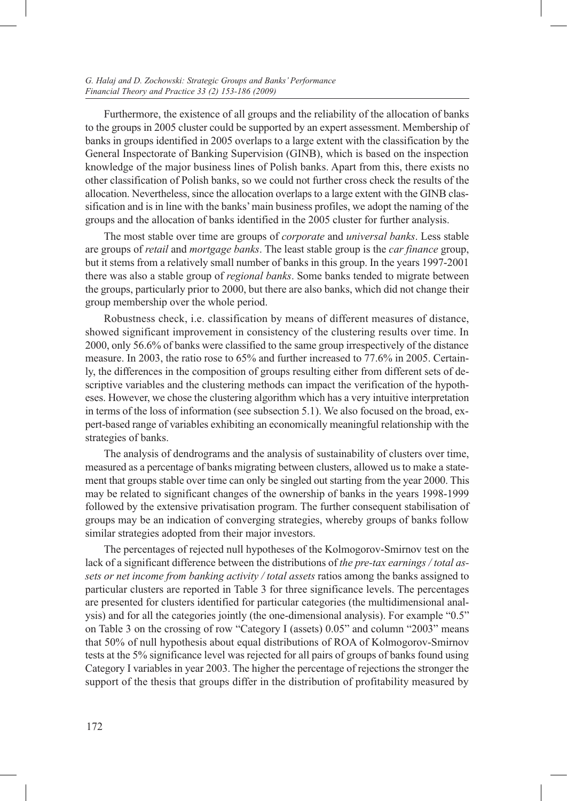Furthermore, the existence of all groups and the reliability of the allocation of banks to the groups in 2005 cluster could be supported by an expert assessment. Membership of banks in groups identified in 2005 overlaps to a large extent with the classification by the General Inspectorate of Banking Supervision (GINB), which is based on the inspection knowledge of the major business lines of Polish banks. Apart from this, there exists no other classification of Polish banks, so we could not further cross check the results of the allocation. Nevertheless, since the allocation overlaps to a large extent with the GINB classification and is in line with the banks' main business profiles, we adopt the naming of the groups and the allocation of banks identified in the 2005 cluster for further analysis.

The most stable over time are groups of *corporate* and *universal banks*. Less stable are groups of *retail* and *mortgage banks*. The least stable group is the *car finance* group, but it stems from a relatively small number of banks in this group. In the years 1997-2001 there was also a stable group of *regional banks*. Some banks tended to migrate between the groups, particularly prior to 2000, but there are also banks, which did not change their group membership over the whole period.

Robustness check, i.e. classification by means of different measures of distance, showed significant improvement in consistency of the clustering results over time. In 2000, only 56.6% of banks were classified to the same group irrespectively of the distance measure. In 2003, the ratio rose to 65% and further increased to 77.6% in 2005. Certainly, the differences in the composition of groups resulting either from different sets of descriptive variables and the clustering methods can impact the verification of the hypotheses. However, we chose the clustering algorithm which has a very intuitive interpretation in terms of the loss of information (see subsection 5.1). We also focused on the broad, expert-based range of variables exhibiting an economically meaningful relationship with the strategies of banks.

The analysis of dendrograms and the analysis of sustainability of clusters over time, measured as a percentage of banks migrating between clusters, allowed us to make a statement that groups stable over time can only be singled out starting from the year 2000. This may be related to significant changes of the ownership of banks in the years 1998-1999 followed by the extensive privatisation program. The further consequent stabilisation of groups may be an indication of converging strategies, whereby groups of banks follow similar strategies adopted from their major investors.

The percentages of rejected null hypotheses of the Kolmogorov-Smirnov test on the lack of a significant difference between the distributions of *the pre-tax earnings / total assets or net income from banking activity / total assets* ratios among the banks assigned to particular clusters are reported in Table 3 for three significance levels. The percentages are presented for clusters identified for particular categories (the multidimensional analysis) and for all the categories jointly (the one-dimensional analysis). For example "0.5" on Table 3 on the crossing of row "Category I (assets) 0.05" and column "2003" means that 50% of null hypothesis about equal distributions of ROA of Kolmogorov-Smirnov tests at the 5% significance level was rejected for all pairs of groups of banks found using Category I variables in year 2003. The higher the percentage of rejections the stronger the support of the thesis that groups differ in the distribution of profitability measured by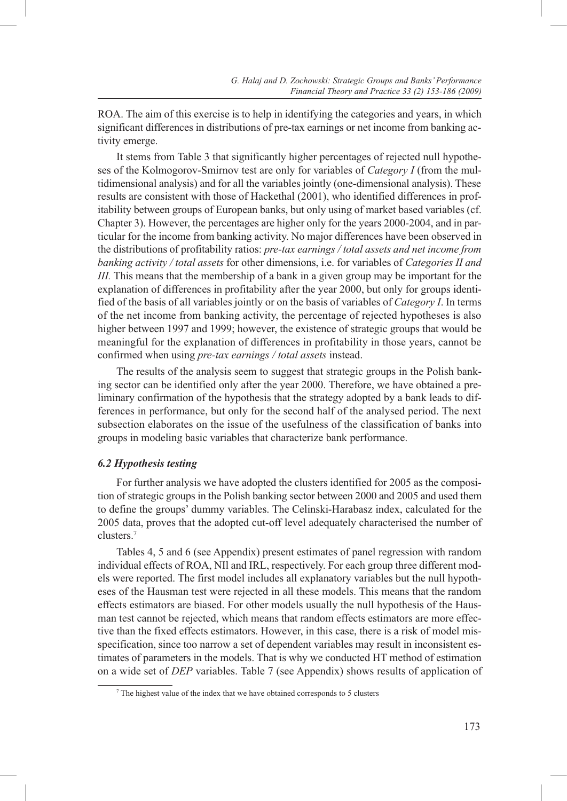ROA. The aim of this exercise is to help in identifying the categories and years, in which significant differences in distributions of pre-tax earnings or net income from banking activity emerge.

It stems from Table 3 that significantly higher percentages of rejected null hypotheses of the Kolmogorov-Smirnov test are only for variables of *Category I* (from the multidimensional analysis) and for all the variables jointly (one-dimensional analysis). These results are consistent with those of Hackethal (2001), who identified differences in profitability between groups of European banks, but only using of market based variables (cf. Chapter 3). However, the percentages are higher only for the years 2000-2004, and in particular for the income from banking activity. No major differences have been observed in the distributions of profitability ratios: *pre-tax earnings / total assets and net income from banking activity / total assets* for other dimensions, i.e. for variables of *Categories II and III.* This means that the membership of a bank in a given group may be important for the explanation of differences in profitability after the year 2000, but only for groups identified of the basis of all variables jointly or on the basis of variables of *Category I*. In terms of the net income from banking activity, the percentage of rejected hypotheses is also higher between 1997 and 1999; however, the existence of strategic groups that would be meaningful for the explanation of differences in profitability in those years, cannot be confirmed when using *pre-tax earnings / total assets* instead.

The results of the analysis seem to suggest that strategic groups in the Polish banking sector can be identified only after the year 2000. Therefore, we have obtained a preliminary confirmation of the hypothesis that the strategy adopted by a bank leads to differences in performance, but only for the second half of the analysed period. The next subsection elaborates on the issue of the usefulness of the classification of banks into groups in modeling basic variables that characterize bank performance.

## *6.2 Hypothesis testing*

For further analysis we have adopted the clusters identified for 2005 as the composition of strategic groups in the Polish banking sector between 2000 and 2005 and used them to define the groups' dummy variables. The Celinski-Harabasz index, calculated for the 2005 data, proves that the adopted cut-off level adequately characterised the number of clusters.7

Tables 4, 5 and 6 (see Appendix) present estimates of panel regression with random individual effects of ROA, NIl and IRL, respectively. For each group three different models were reported. The first model includes all explanatory variables but the null hypotheses of the Hausman test were rejected in all these models. This means that the random effects estimators are biased. For other models usually the null hypothesis of the Hausman test cannot be rejected, which means that random effects estimators are more effective than the fixed effects estimators. However, in this case, there is a risk of model misspecification, since too narrow a set of dependent variables may result in inconsistent estimates of parameters in the models. That is why we conducted HT method of estimation on a wide set of *DEP* variables. Table 7 (see Appendix) shows results of application of

<sup>7</sup> The highest value of the index that we have obtained corresponds to 5 clusters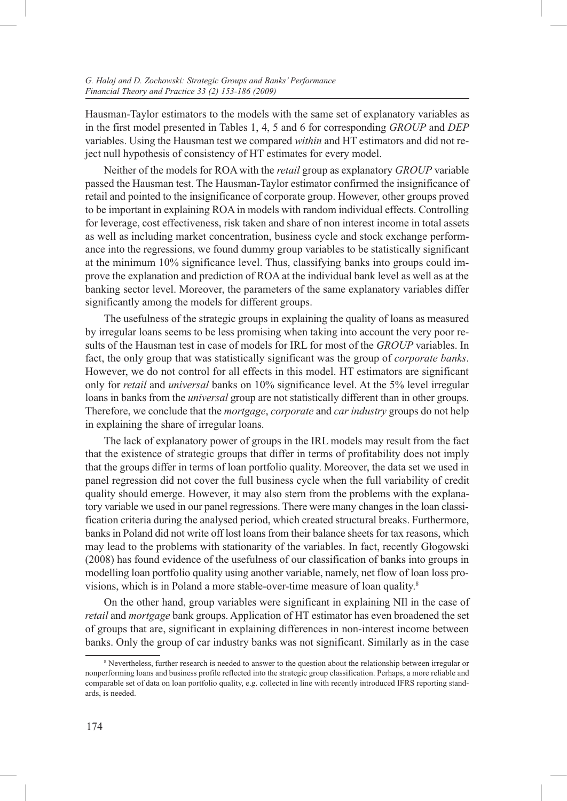Hausman-Taylor estimators to the models with the same set of explanatory variables as in the first model presented in Tables 1, 4, 5 and 6 for corresponding *GROUP* and *DEP* variables. Using the Hausman test we compared *within* and HT estimators and did not reject null hypothesis of consistency of HT estimates for every model.

Neither of the models for ROA with the *retail* group as explanatory *GROUP* variable passed the Hausman test. The Hausman-Taylor estimator confirmed the insignificance of retail and pointed to the insignificance of corporate group. However, other groups proved to be important in explaining ROA in models with random individual effects. Controlling for leverage, cost effectiveness, risk taken and share of non interest income in total assets as well as including market concentration, business cycle and stock exchange performance into the regressions, we found dummy group variables to be statistically significant at the minimum 10% significance level. Thus, classifying banks into groups could improve the explanation and prediction of ROA at the individual bank level as well as at the banking sector level. Moreover, the parameters of the same explanatory variables differ significantly among the models for different groups.

The usefulness of the strategic groups in explaining the quality of loans as measured by irregular loans seems to be less promising when taking into account the very poor results of the Hausman test in case of models for IRL for most of the *GROUP* variables. In fact, the only group that was statistically significant was the group of *corporate banks*. However, we do not control for all effects in this model. HT estimators are significant only for *retail* and *universal* banks on 10% significance level. At the 5% level irregular loans in banks from the *universal* group are not statistically different than in other groups. Therefore, we conclude that the *mortgage*, *corporate* and *car industry* groups do not help in explaining the share of irregular loans.

The lack of explanatory power of groups in the IRL models may result from the fact that the existence of strategic groups that differ in terms of profitability does not imply that the groups differ in terms of loan portfolio quality. Moreover, the data set we used in panel regression did not cover the full business cycle when the full variability of credit quality should emerge. However, it may also stern from the problems with the explanatory variable we used in our panel regressions. There were many changes in the loan classification criteria during the analysed period, which created structural breaks. Furthermore, banks in Poland did not write off lost loans from their balance sheets for tax reasons, which may lead to the problems with stationarity of the variables. In fact, recently Głogowski (2008) has found evidence of the usefulness of our classification of banks into groups in modelling loan portfolio quality using another variable, namely, net flow of loan loss provisions, which is in Poland a more stable-over-time measure of loan quality.8

On the other hand, group variables were significant in explaining NIl in the case of *retail* and *mortgage* bank groups. Application of HT estimator has even broadened the set of groups that are, significant in explaining differences in non-interest income between banks. Only the group of car industry banks was not significant. Similarly as in the case

<sup>&</sup>lt;sup>8</sup> Nevertheless, further research is needed to answer to the question about the relationship between irregular or nonperforming loans and business profile reflected into the strategic group classification. Perhaps, a more reliable and comparable set of data on loan portfolio quality, e.g. collected in line with recently introduced IFRS reporting standards, is needed.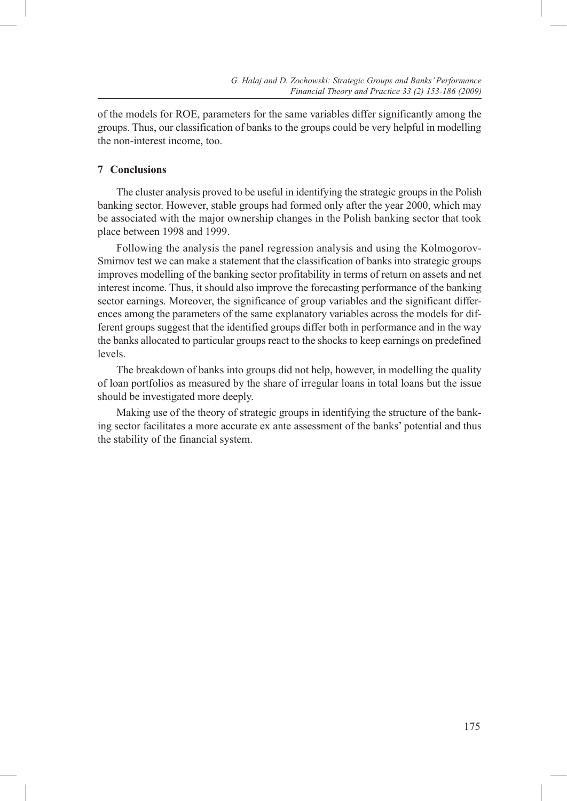of the models for ROE, parameters for the same variables differ significantly among the groups. Thus, our classification of banks to the groups could be very helpful in modelling the non-interest income, too.

## **7 Conclusions**

The cluster analysis proved to be useful in identifying the strategic groups in the Polish banking sector. However, stable groups had formed only after the year 2000, which may be associated with the major ownership changes in the Polish banking sector that took place between 1998 and 1999.

Following the analysis the panel regression analysis and using the Kolmogorov-Smirnov test we can make a statement that the classification of banks into strategic groups improves modelling of the banking sector profitability in terms of return on assets and net interest income. Thus, it should also improve the forecasting performance of the banking sector earnings. Moreover, the significance of group variables and the significant differences among the parameters of the same explanatory variables across the models for different groups suggest that the identified groups differ both in performance and in the way the banks allocated to particular groups react to the shocks to keep earnings on predefined levels.

The breakdown of banks into groups did not help, however, in modelling the quality of loan portfolios as measured by the share of irregular loans in total loans but the issue should be investigated more deeply.

Making use of the theory of strategic groups in identifying the structure of the banking sector facilitates a more accurate ex ante assessment of the banks' potential and thus the stability of the financial system.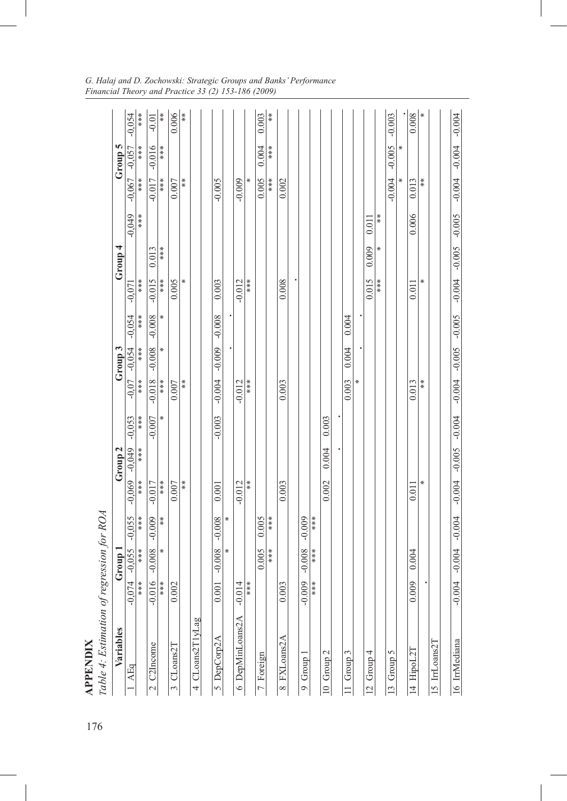| Table 4: Estimation of                            |                   | regression for ROA |          |                  |                    |          |          |                 |          |          |            |          |                   |          |          |
|---------------------------------------------------|-------------------|--------------------|----------|------------------|--------------------|----------|----------|-----------------|----------|----------|------------|----------|-------------------|----------|----------|
| Variables                                         |                   | $Group$ $1$        |          |                  | Group <sub>2</sub> |          |          | Group 3         |          |          | $G$ roup 4 |          |                   | Group 5  |          |
| $1$ AEq                                           | $-0.074$ $-0.055$ |                    | $-0,055$ | $-0.069 - 0.049$ |                    | $-0,053$ |          | $-0.07 - 0.054$ | $-0.054$ | $-0.071$ |            | $-0.049$ | $-0.067$ $-0.057$ |          | $-0.054$ |
|                                                   |                   | ****               | ****     | ***              | ***                | $***$    | ***      | ****            | $***$    | ****     |            | ****     | $***$             | ***      | ****     |
| C <sub>2</sub> Income<br>$\overline{\mathcal{L}}$ | $-0.016$          | $-0.008$           | $-0.009$ | $-0.017$         |                    | $-0.007$ | $-0.018$ | $-0.008$        | $-0.008$ | $-0.015$ | 0.013      |          | $-0.017$          | $-0.016$ | $-0.01$  |
|                                                   | $*$<br>$*$        | ∗                  | $*$      | $***$            |                    | ⋇        | $***$    | ∗               | ∗        | ***      | ***        |          | $***$             | ***      | $*$      |
| 3 CLoans2T                                        | 0.002             |                    |          | 0.007            |                    |          | 0.007    |                 |          | 0.005    |            |          | 0.007             |          | 0.006    |
|                                                   |                   |                    |          | $* *$            |                    |          | $* *$    |                 |          | ∗        |            |          | $*$               |          | $*$      |
| CLoans2T1yLag<br>4                                |                   |                    |          |                  |                    |          |          |                 |          |          |            |          |                   |          |          |
|                                                   |                   |                    |          |                  |                    |          |          |                 |          |          |            |          |                   |          |          |
| 5 DepCorp2A                                       | 0.001             | $-0.008$           | $-0.008$ | 0.001            |                    | $-0.003$ | $-0.004$ | $-0.009$        | $-0.008$ | 0.003    |            |          | $-0.005$          |          |          |
|                                                   |                   | ⋇                  |          |                  |                    |          |          |                 |          |          |            |          |                   |          |          |
| 6 DepMinLoans2A                                   | $-0.014$          |                    |          | $-0.012$         |                    |          | $-0.012$ |                 |          | $-0.012$ |            |          | $-0.009$          |          |          |
|                                                   | ****              |                    |          | $* *$            |                    |          | ***      |                 |          | ***      |            |          | ₩                 |          |          |
| 7 Foreign                                         |                   | 0.005              | 0.005    |                  |                    |          |          |                 |          |          |            |          | 0.005             | 0.004    | 0.003    |
|                                                   |                   | $***$              | ***      |                  |                    |          |          |                 |          |          |            |          | $***$             | $***$    | $*$      |
| 8 FXLoans2A                                       | .003              |                    |          | 0.003            |                    |          | 0.003    |                 |          | 0.008    |            |          | 0.002             |          |          |
|                                                   |                   |                    |          |                  |                    |          |          |                 |          |          |            |          |                   |          |          |
| 9 Group 1                                         | $-0.009$          | $-0.008$           | $-0.009$ |                  |                    |          |          |                 |          |          |            |          |                   |          |          |
|                                                   | $***$             | ***                | ***      |                  |                    |          |          |                 |          |          |            |          |                   |          |          |
| 10 Group 2                                        |                   |                    |          | 0.002            | 0.004              | 0.003    |          |                 |          |          |            |          |                   |          |          |
|                                                   |                   |                    |          |                  |                    |          |          |                 |          |          |            |          |                   |          |          |
| 11 Group 3                                        |                   |                    |          |                  |                    |          | 0.003    | 0.004           | 0.004    |          |            |          |                   |          |          |
|                                                   |                   |                    |          |                  |                    |          | ∗        |                 |          |          |            |          |                   |          |          |
| $12$ Group 4                                      |                   |                    |          |                  |                    |          |          |                 |          | 0.015    | 0.009      | 0.011    |                   |          |          |
|                                                   |                   |                    |          |                  |                    |          |          |                 |          | $***$    | ⋇          | $*$      |                   |          |          |
| 13 Group 5                                        |                   |                    |          |                  |                    |          |          |                 |          |          |            |          | $-0.004$          | $-0.005$ | $-0.003$ |
|                                                   |                   |                    |          |                  |                    |          |          |                 |          |          |            |          | ₩                 | ₩        |          |
| 14 HipoL2T                                        | 0.009             | 0.004              |          | 0.011            |                    |          | 0.013    |                 |          | 0.011    |            | 0.006    | 0.013             |          | 0.008    |
|                                                   |                   |                    |          |                  |                    |          | $*$      |                 |          |          |            |          | $*$               |          | ₩        |
| 15 IrrLoans2T                                     |                   |                    |          |                  |                    |          |          |                 |          |          |            |          |                   |          |          |
|                                                   |                   |                    |          |                  |                    |          |          |                 |          |          |            |          |                   |          |          |
| 16 IrrMediana                                     | $-0.004$          | $-0.004$           | $-0.004$ | $-0.004$         | $-0.005$           | $-0.004$ | $-0.004$ | $-0.005$        | $-0.005$ | $-0.004$ | $-0.005$   | $-0.005$ | $-0.004$          | $-0.004$ | $-0.004$ |

*G. Halaj and D. Zochowski: Strategic Groups and Banks' Performance Financial Theory and Practice 33 (2) 153-186 (2009)*

**APPENDIX**

**APPENDIX** 

 $\overline{\phantom{a}}$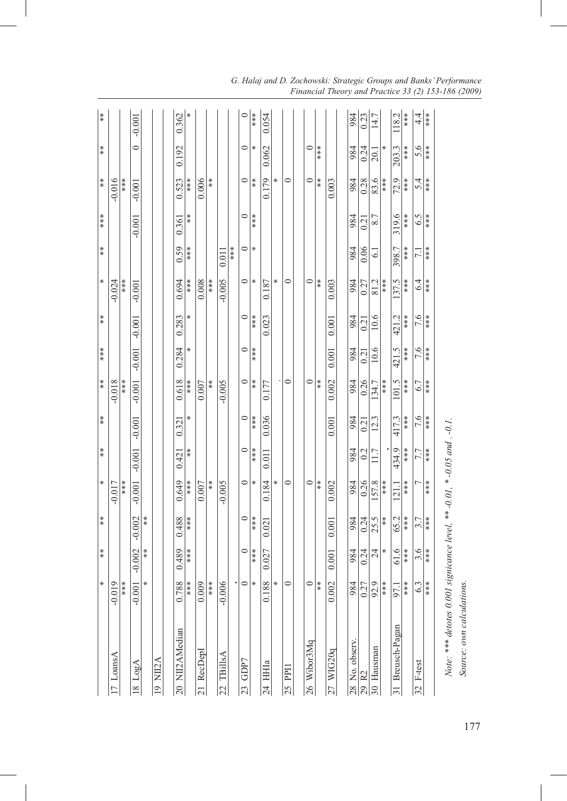|                                         | ₩                    | $*$      | $*$                | ₩                          | $*$                 | $*$         | $\frac{*}{*}$        | ***      | $*$      | ₩                   | $*$             | $***$    | $\frac{*}{*}$        | $*$     | $*$              |
|-----------------------------------------|----------------------|----------|--------------------|----------------------------|---------------------|-------------|----------------------|----------|----------|---------------------|-----------------|----------|----------------------|---------|------------------|
| .7 LoansA                               | 019<br>₹             |          |                    | $-0.017$                   |                     |             | $-0.018$             |          |          | $-0.024$            |                 |          | $-0.016$             |         |                  |
|                                         | ****                 |          |                    | ***                        |                     |             | ***                  |          |          | ***                 |                 |          | ***                  |         |                  |
| $18$ LogA                               | $\overline{0}0$<br>ု | $-0.002$ | $-0.002$           | $-0.001$                   | $-0.001$            | $-0.001$    | $-0.001$             | $-0.001$ | $-0.001$ | $-0.001$            |                 | $-0.001$ | $-0.001$             | $\circ$ | $-0.001$         |
|                                         | ⋇                    | $*$      | $*$                |                            |                     |             |                      |          |          |                     |                 |          |                      |         |                  |
| 19 NII2A                                |                      |          |                    |                            |                     |             |                      |          |          |                     |                 |          |                      |         |                  |
|                                         |                      |          |                    |                            |                     |             |                      |          |          |                     |                 |          |                      |         |                  |
| 20 NII2AMedian                          | 1.788                | 0.489    | 0.488              | 0.649                      | 0.421               | 0.321       | 0.618                | 0.284    | 0.283    | 0.694               | 0.59            | 0.361    | 0.523                | 0.192   | 0.362            |
|                                         | ***                  | ***      | ***                | ***                        | $* *$               | ⋇           | ***                  |          | ⋇        | ***                 | ***             | $*$      | ***                  |         | ∗                |
| RecDepl<br>$\overline{21}$              | 009                  |          |                    | 0.007                      |                     |             | 0.007                |          |          | 0.008               |                 |          | 0.006                |         |                  |
|                                         | $***$                |          |                    | $*$                        |                     |             | $*$                  |          |          | $***$               |                 |          | $* \ast$             |         |                  |
| TBillsA<br>22                           | 006<br>ု             |          |                    | $-0.005$                   |                     |             | $-0.005$             |          |          | $-0.005$            | 0.011           |          |                      |         |                  |
|                                         |                      |          |                    |                            |                     |             |                      |          |          |                     | ***             |          |                      |         |                  |
| 23 GDP7                                 | $\circ$              | 0        | $\circ$            | $\circ$                    | $\mathord{\subset}$ | $\circ$     | $\circ$              | 0        | $\circ$  | $\circ$             | $\circ$         | 0        | $\circ$              | $\circ$ | $\circ$          |
|                                         | ⋇                    | ***      | ***                | ⋇                          | ***                 | ***         | $*$                  | ***      | ***      | ⋇                   | ⋇               | ***      | $*$                  | ⋇       | ***              |
| 24 HHIa                                 | 0.188                | 0.027    | 0.021              | 0.184                      | 0.011               | 0.036       | 0.177                |          | 0.023    | 0.187               |                 |          | 0.179                | 0.062   | 0.054            |
|                                         | ∗                    |          |                    | ⋇                          |                     |             |                      |          |          | ⋇                   |                 |          | ∗                    |         |                  |
| <b>PPI1</b><br>25                       | $\circ$              |          |                    | $\circ$                    |                     |             | $\circ$              |          |          | $\circ$             |                 |          | $\circ$              |         |                  |
|                                         |                      |          |                    |                            |                     |             |                      |          |          |                     |                 |          |                      |         |                  |
| 26 Wibor3Mq                             | $\circ$              |          |                    | $\circ$                    |                     |             | $\circ$              |          |          | 0                   |                 |          | $\circ$              | 0       |                  |
|                                         | $*$                  |          |                    | $*$                        |                     |             | $\stackrel{*}{\ast}$ |          |          | $\overset{*}{\ast}$ |                 |          | $\stackrel{*}{\ast}$ | ***     |                  |
| 27 WIG20q                               | 602                  | 0.001    | 0.001              | 0.002                      |                     | 0.001       | 0.002                | 0.001    | 0.001    | 0.003               |                 |          | 0.003                |         |                  |
| 28 No. observ.                          | 984                  | 984      | 984                | 984                        | 984                 | 984         | 984                  | 984      | 984      | 984                 | 984             | 984      | 984                  | 984     |                  |
| 29 R <sub>2</sub>                       | 0.27                 | 0.24     | 0.24               | 0.26                       | 0.2                 | 0.21        | 0.26                 | 0.21     | 0.21     | 0.27                | 0.06            | 0.21     | 0.28                 | 0.24    | $rac{984}{0.23}$ |
| 30 Hausman                              | 92.9                 | 24       | 25.5               | 157.8                      | 11.7                | 12.3        | 134.7                | 10.6     | 10.6     | 81.2                | 5               | 8.7      | 83.6                 | 20.1    | 14.7             |
|                                         | $***$                | ∗        | $*$                | $**\ast$                   |                     |             | ***                  |          |          | ***                 |                 |          |                      | ∗       |                  |
| Breusch-Pagan<br>$\overline{31}$        | 97.1                 | 61.6     | 65.2               | $\overline{211}$           | 434.9               | 417.3       | 101.5                | 421.5    | 421.2    | 137.5               | 398.7           | 319.6    | 72.9                 | 203.3   | 118.2            |
|                                         | $***$                | ***      | ***                | ***                        | $***$               | ***         | $***$                | $***$    | $***$    | ***                 | ***             | ***      | $***$                | $***$   | $***$            |
| 32 F-test                               | 6.3                  | 3.6      | Ļ<br>$\frac{1}{2}$ | r                          | 7.7                 | 7.6         | 6.7                  | 7.6      | 7.6      | 6.4                 | $\overline{71}$ | 6.5      | 5.4                  | 5.6     | 4.4              |
|                                         | $***$                | ***      | $***$              | ***                        | $****$              | $***$       | ***                  | ***      | ***      | $***$               | $***$           | $***$    | ***                  | ***     | $***$            |
| $2 + 1 - 1$<br>$\lambda$ $\overline{L}$ | $\frac{1}{2}$        |          |                    | $1 - 1$ $42$ $01$ $4$ $05$ |                     | $\tilde{c}$ |                      |          |          |                     |                 |          |                      |         |                  |

*G. Halaj and D. Zochowski: Strategic Groups and Banks' Performance Financial Theory and Practice 33 (2) 153-186 (2009)*  $\mathbb{R}^2$ 

 $-0.05$  and  $-0.1$ . *Note: \*\*\* detotes 0.001 signicance level, \*\* -0.01, \* -0.05 and . -0.1. Source: own calculations.*  $-U.UJ$ , \*\* detotes 0.001 signicance level, \* Source: own calculations. Note: \*

177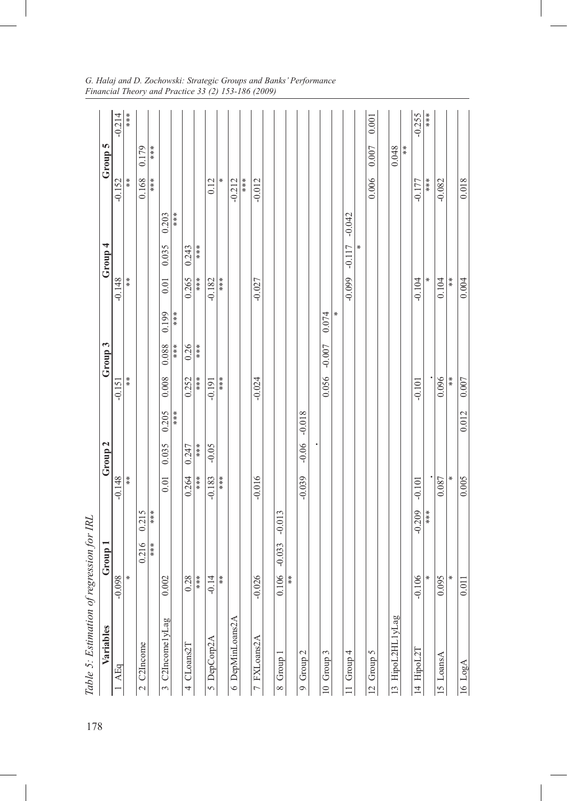| Table 5: Estimation of                            | regression for IRL |          |          |                    |          |          |          |       |            |          |          |          |         |          |
|---------------------------------------------------|--------------------|----------|----------|--------------------|----------|----------|----------|-------|------------|----------|----------|----------|---------|----------|
| Variables                                         | Group 1            |          |          | Group <sub>2</sub> |          |          | Group 3  |       |            | Group 4  |          |          | Group 5 |          |
| AEq                                               | $-0.098$           |          | $-0.148$ |                    |          | $-0.151$ |          |       | $-0.148$   |          |          | $-0.152$ |         | $-0.214$ |
|                                                   | ₩                  |          | $*$      |                    |          | $*$      |          |       | $*$<br>$*$ |          |          | $*$      |         | ***      |
| C <sub>2</sub> Income<br>$\overline{\mathcal{L}}$ | 0.216              | 0.215    |          |                    |          |          |          |       |            |          |          | 0.168    | 0.179   |          |
|                                                   | $**\n$             | $***$    |          |                    |          |          |          |       |            |          |          | $***$    | ***     |          |
| 3 C2IncomelyLag                                   | 0.002              |          | 0.01     | 0.035              | 0.205    | 0.008    | 0.088    | 0.199 | 0.01       | 0.035    | 0.203    |          |         |          |
|                                                   |                    |          |          |                    | ***      |          | ***      | ***   |            |          | ***      |          |         |          |
| 4 CLoans2T                                        | 0.28               |          | 0.264    | 0.247              |          | 0.252    | 0.26     |       | 0.265      | 0.243    |          |          |         |          |
|                                                   | $***$              |          | $***$    | $***$              |          | $**\ast$ | $***$    |       | $***$      | $***$    |          |          |         |          |
| 5 DepCorp2A                                       | $-0.14$            |          | $-0.183$ | $-0.05$            |          | $-0.191$ |          |       | $-0.182$   |          |          | 0.12     |         |          |
|                                                   | $*$                |          | ****     |                    |          | $***$    |          |       | $***$      |          |          | ⋇        |         |          |
| 6 DepMinLoans2A                                   |                    |          |          |                    |          |          |          |       |            |          |          | $-0.212$ |         |          |
|                                                   |                    |          |          |                    |          |          |          |       |            |          |          | ****     |         |          |
| 7 FXLoans2A                                       | $-0.026$           |          | $-0.016$ |                    |          | $-0.024$ |          |       | $-0.027$   |          |          | $-0.012$ |         |          |
|                                                   |                    |          |          |                    |          |          |          |       |            |          |          |          |         |          |
| Group 1<br>$\infty$                               | $-0.033$<br>0.106  | $-0.013$ |          |                    |          |          |          |       |            |          |          |          |         |          |
|                                                   | $* *$              |          |          |                    |          |          |          |       |            |          |          |          |         |          |
| 9 Group 2                                         |                    |          | $-0.039$ | $-0.06$            | $-0.018$ |          |          |       |            |          |          |          |         |          |
|                                                   |                    |          |          |                    |          |          |          |       |            |          |          |          |         |          |
| 10 Group 3                                        |                    |          |          |                    |          | 0.056    | $-0.007$ | 0.074 |            |          |          |          |         |          |
|                                                   |                    |          |          |                    |          |          |          | ⋇     |            |          |          |          |         |          |
| 11 Group $4$                                      |                    |          |          |                    |          |          |          |       | $-0.099$   | $-0.117$ | $-0.042$ |          |         |          |
|                                                   |                    |          |          |                    |          |          |          |       |            | ₩        |          |          |         |          |
| 12 Group 5                                        |                    |          |          |                    |          |          |          |       |            |          |          | 0.006    | 0.007   | 0.001    |
|                                                   |                    |          |          |                    |          |          |          |       |            |          |          |          |         |          |
| 13 HipoL2HL1yLag                                  |                    |          |          |                    |          |          |          |       |            |          |          |          | 0.048   |          |
|                                                   |                    |          |          |                    |          |          |          |       |            |          |          |          | $*$     |          |
| 14 HipoL2T                                        | $-0.106$           | $-0.209$ | $-0.101$ |                    |          | $-0.101$ |          |       | $-0.104$   |          |          | $-0.177$ |         | $-0.255$ |
|                                                   | ∗                  | ***      |          |                    |          |          |          |       | ∗          |          |          | $***$    |         | $***$    |
| 15 LoansA                                         | 0.095              |          | 0.087    |                    |          | 0.096    |          |       | 0.104      |          |          | $-0.082$ |         |          |
|                                                   | ∗                  |          |          |                    |          | $*$      |          |       | $*$        |          |          |          |         |          |
| 16 LogA                                           | 0.011              |          | 0.005    |                    | 0.012    | 0.007    |          |       | 0.004      |          |          | 0.018    |         |          |
|                                                   |                    |          |          |                    |          |          |          |       |            |          |          |          |         |          |

*G. Halaj and D. Zochowski: Strategic Groups and Banks' Performance Financial Theory and Practice 33 (2) 153-186 (2009)*

 $\overline{\phantom{a}}$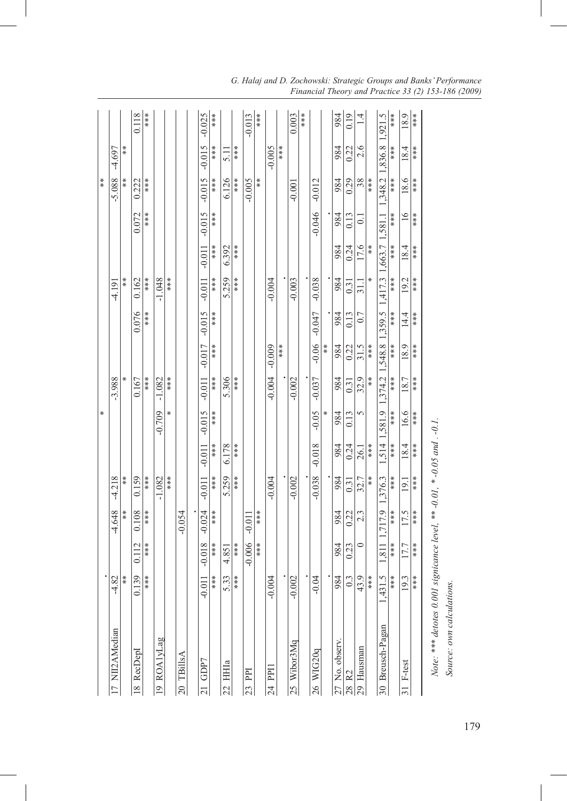|                          |          |          |          |                   |             | ∗              |          |          |          |          |                    |                 | $*$             |                  |                 |
|--------------------------|----------|----------|----------|-------------------|-------------|----------------|----------|----------|----------|----------|--------------------|-----------------|-----------------|------------------|-----------------|
| 17 NII2AMedian           | $-4.82$  |          | $-4.648$ | $-4.218$          |             |                | $-3.988$ |          |          | $-4.191$ |                    |                 | $-5.088$        | $-4.697$         |                 |
|                          | $*$      |          | $*$      | $* *$             |             |                | ₩        |          |          | $* *$    |                    |                 | $*$             | $* *$            |                 |
| 18 RecDepI               | 0.139    | 0.112    | 0.108    | 0.159             |             |                | 0.167    |          | 0.076    | 0.162    |                    | 0.072           | 0.222           |                  | 0.118           |
|                          | ***      | ***      | ****     | ***               |             |                | ***      |          | ***      | ****     |                    | ***             | ***             |                  | ***             |
| 19 ROAlyLag              |          |          |          | $-1.082$          |             | $-0.709$       | $-1.082$ |          |          | $-1.048$ |                    |                 |                 |                  |                 |
|                          |          |          |          | ***               |             | ∗              | ***      |          |          | ***      |                    |                 |                 |                  |                 |
| 20 TBillsA               |          |          | $-0.054$ |                   |             |                |          |          |          |          |                    |                 |                 |                  |                 |
|                          |          |          |          |                   |             |                |          |          |          |          |                    |                 |                 |                  |                 |
| GDP7<br>21               | $-0.011$ | $-0.018$ | $-0.024$ | $-0.011$          | $-0.011$    | $-0.015$       | $-0.011$ | $-0.017$ | $-0.015$ | $-0.011$ | $-0.011$           | $-0.015$        | $-0.015$        | $-0.015$         | $-0.025$        |
|                          | ***      | ***      | ***      | ***               | $***$       | ***            |          | ***      | ***      | ***      | ***                | ***             | ***             | ***              | ***             |
| HHIa<br>22               | 5.33     | 4.851    |          | 5.259             | 6.178       |                | 5.306    |          |          | 5.259    | 6.392              |                 | 6.126           | $\overline{5}$ . |                 |
|                          | ***      | ***      |          | ***               | ***         |                | ***      |          |          | ***      | ***                |                 |                 | $***$            |                 |
| PPI<br>23                |          | $-0.006$ | $-0.011$ |                   |             |                |          |          |          |          |                    |                 | $-0.005$        |                  | $-0.013$        |
|                          |          | ***      | ***      |                   |             |                |          |          |          |          |                    |                 | $*$             |                  | ***             |
| 24 PPI                   | $-0.004$ |          |          | $-0.004$          |             |                | $-0.004$ | $-0.009$ |          | $-0.004$ |                    |                 |                 | $-0.005$         |                 |
|                          |          |          |          |                   |             |                |          | ***      |          |          |                    |                 |                 | $***$            |                 |
| 25 Wibor3Mq              | $-0.002$ |          |          | $-0.002$          |             |                | $-0.002$ |          |          | $-0.003$ |                    |                 | $-0.001$        |                  | 0.003           |
|                          |          |          |          |                   |             |                |          |          |          |          |                    |                 |                 |                  | ***             |
| 26 WIG20q                | $-0.04$  |          |          | $-0.038$          | $-0.018$    | $-0.05$        | $-0.037$ | $-0.06$  | $-0.047$ | $-0.038$ |                    | $-0.046$        | $-0.012$        |                  |                 |
|                          |          |          |          |                   |             | ∗              |          | $*$      |          |          |                    |                 |                 |                  |                 |
| 27 No. observ.           | 984      | 984      | 984      | 984               | 984         | 984            | 984      | 984      | 984      | 984      | 984                | 984             | 984             | 984              | 984             |
| 28 R2                    | 0.3      | 0.23     | 0.22     | $\overline{0.31}$ | 0.24        | 0.13           | 0.31     | 0.22     | 0.13     | 0.31     | 0.24               | 0.13            | 0.29            | 0.22             | 0.19            |
| 29 Hausman               | 43.9     | $\circ$  | 2.3      | 32.7              | <b>26.1</b> | 5              | 32.9     | 31.5     | 0.7      | 31.1     | 17.6               | ි               | 38              | 2.6              | $\overline{14}$ |
|                          | ****     |          |          | $* *$             | ***         |                | $* *$    | ****     |          | ∗        | $*$                |                 | ***             |                  |                 |
| 30 Breusch-Pagan         | 1,431.5  | 1,811    | 1.717.9  | 1,376.3           | 1,514       | 1,581.9        | 1,374.2  | 1,548.8  | 1,359.5  | 1,417.3  | 1,663.7 1,581.1    |                 | 1,348.2 1,836.8 |                  | 1,921.5         |
|                          | ***      | $***$    | ***      | ***               | ***         | ***            | ***      | $***$    | ***      | ***      | ***                | ***             | ***             | ***              | ***             |
| F-test<br>31             | 19.3     | 17.7     | 17.5     | 19.1              | 18.4        | 16.6           | 18.7     | 18.9     | 14.4     | 19.2     | 4<br>$\frac{8}{3}$ | $\overline{16}$ | 18.6            | 18.4             | 18.9            |
|                          | $***$    | $***$    | $***$    | ***               | ***         | $***$          | $***$    | $***$    | ***      | $***$    | $***$              | $***$           | $***$           | ***              | ***             |
| $N_{c14}$ . *** $J_{c4}$ |          |          |          |                   |             | $\overline{a}$ |          |          |          |          |                    |                 |                 |                  |                 |

 $\overline{a}$ 

*G. Halaj and D. Zochowski: Strategic Groups and Banks' Performance Financial Theory and Practice 33 (2) 153-186 (2009)*

> Note: \*\*\* detotes 0.001 signicance level, \*\*-0.01, \*-0.05 and .-0.1. *Note: \*\*\* detotes 0.001 signicance level, \*\* -0.01, \* -0.05 and . -0.1. Source: own calculations.* Source: own calculations.

> > 179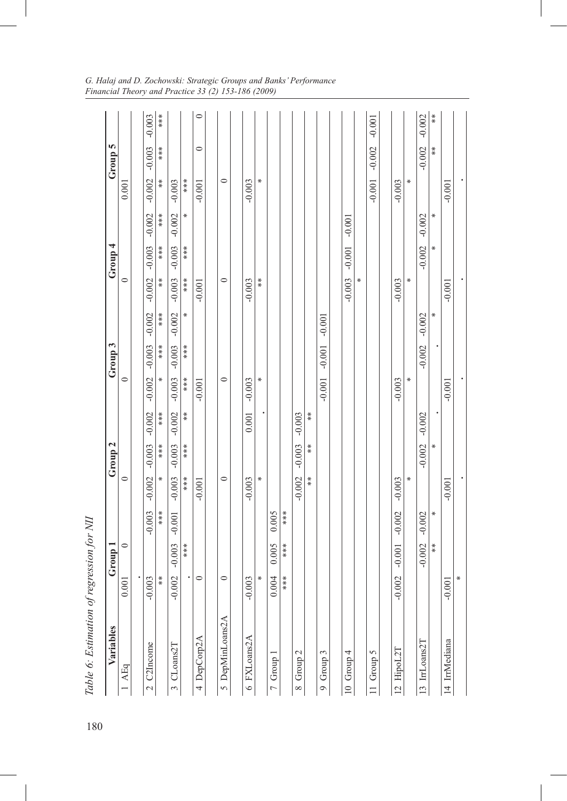| Variables                 |          | Group 1  |          |          | Group <sub>2</sub> |          |          | Group 3  |          |          | Group 4           |          |          | Group 5  |          |
|---------------------------|----------|----------|----------|----------|--------------------|----------|----------|----------|----------|----------|-------------------|----------|----------|----------|----------|
| 1 AEq                     | 0.001    | $\circ$  |          | $\circ$  |                    |          | $\circ$  |          |          | $\circ$  |                   |          | 0.001    |          |          |
|                           |          |          |          |          |                    |          |          |          |          |          |                   |          |          |          |          |
| 2 C2Income                | $-0.003$ |          | $-0.003$ | $-0.002$ | $-0.003$           | $-0.002$ | $-0.002$ | $-0.003$ | $-0.002$ | $-0.002$ | $-0.003$          | $-0.002$ | $-0.002$ | $-0.003$ | $-0.003$ |
|                           | $*$      |          | $***$    | X        | $***$              | ***      | ⋇        | ****     | ***      | $*$      | $*$<br>$*$<br>$*$ | ***      | $*$      | ***      | $*****$  |
| CLoans2T<br>$\tilde{5}$   | $-0.002$ | $-0.003$ | $-0.001$ | $-0.003$ | $-0.003$           | $-0.002$ | $-0.003$ | $-0.003$ | $-0.002$ | $-0.003$ | $-0.003$          | $-0.002$ | $-0.003$ |          |          |
|                           |          | $***$    |          | ****     | $***$              | $*$      | $***$    | $***$    | ⋇        | ***      | $***$             | ∗        | $***$    |          |          |
| 4 DepCorp2A               | $\circ$  |          |          | $-0.001$ |                    |          | $-0.001$ |          |          | $-0.001$ |                   |          | $-0.001$ | $\circ$  | $\circ$  |
| 5 DepMinLoans2A           | $\circ$  |          |          | $\circ$  |                    |          | $\circ$  |          |          | $\circ$  |                   |          | $\circ$  |          |          |
| 6 FXLoans2A               | $-0.003$ |          |          | $-0.003$ |                    | 0.001    | $-0.003$ |          |          | $-0.003$ |                   |          | $-0.003$ |          |          |
|                           | ∗        |          |          | ∗        |                    |          | ¥        |          |          | $*$      |                   |          | ∗        |          |          |
| 7 Group 1                 | 0.004    | 0.005    | 0.005    |          |                    |          |          |          |          |          |                   |          |          |          |          |
|                           | ***      | ***      | ***      |          |                    |          |          |          |          |          |                   |          |          |          |          |
| 8 Group 2                 |          |          |          | $-0.002$ | $-0.003$           | $-0.003$ |          |          |          |          |                   |          |          |          |          |
|                           |          |          |          | $*$      | $*$                | $*$      |          |          |          |          |                   |          |          |          |          |
| 9 Group 3                 |          |          |          |          |                    |          | $-0.001$ | $-0.001$ | $-0.001$ |          |                   |          |          |          |          |
| $10$ Group 4              |          |          |          |          |                    |          |          |          |          | $-0.003$ | $-0.001$          | $-0.001$ |          |          |          |
|                           |          |          |          |          |                    |          |          |          |          | ₩        |                   |          |          |          |          |
| 11 Group 5                |          |          |          |          |                    |          |          |          |          |          |                   |          | $-0.001$ | $-0.002$ | $-0.001$ |
| HipoL2T<br>$\overline{2}$ | $-0.002$ | $-0.001$ | $-0.002$ | $-0.003$ |                    |          | $-0.003$ |          |          | $-0.003$ |                   |          | $-0.003$ |          |          |
|                           |          |          |          | ∗        |                    |          | ∗        |          |          | ₩        |                   |          | ∗        |          |          |
| 13 InLoans2T              |          | $-0.002$ | $-0.002$ |          | $-0.002$           | $-0.002$ |          | $-0.002$ | $-0.002$ |          | $-0.002$          | $-0.002$ |          | $-0.002$ | $-0.002$ |
|                           |          | $* *$    | ∗        |          | ⋇                  |          |          | ٠        | ⋇        |          | ∗                 | ⋇        |          | $*$      | $* *$    |
| 14 IrrMediana             | $-0.001$ |          |          | $-0.001$ |                    |          | $-0.001$ |          |          | $-0.001$ |                   |          | $-0.001$ |          |          |
|                           | ⋇        |          |          |          |                    |          |          |          |          |          |                   |          |          |          |          |
|                           |          |          |          |          |                    |          |          |          |          |          |                   |          |          |          |          |

*G. Halaj and D. Zochowski: Strategic Groups and Banks' Performance Financial Theory and Practice 33 (2) 153-186 (2009)*

 $\overline{\phantom{a}}$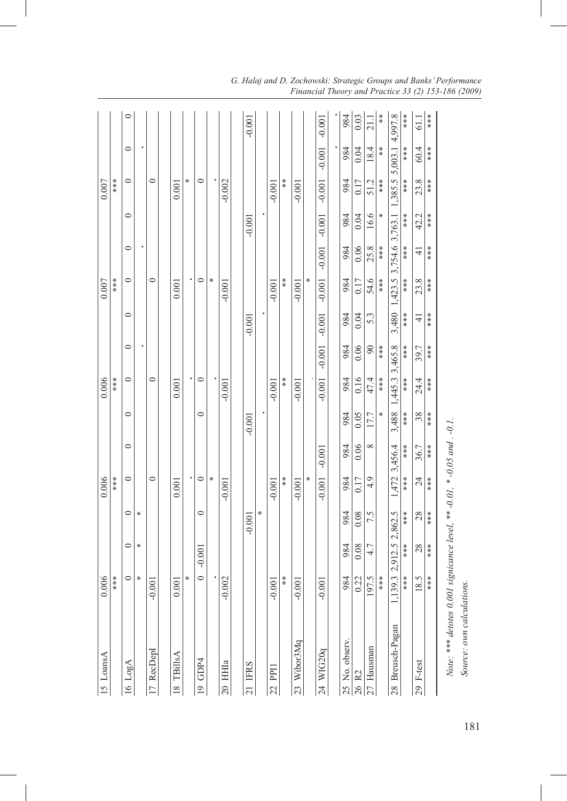| 15 LoansA                                                            | 0.006    |                         |          | 0.006    |               |          | 0.006                 |                |          | 0.007                         |          |          | 0.007                   |          |          |
|----------------------------------------------------------------------|----------|-------------------------|----------|----------|---------------|----------|-----------------------|----------------|----------|-------------------------------|----------|----------|-------------------------|----------|----------|
|                                                                      |          |                         |          | $***$    |               |          |                       |                |          | $***$                         |          |          | $***$                   |          |          |
| $16$ $LogA$                                                          | $\circ$  | $\circ$                 | $\circ$  | $\circ$  | $\circ$       | $\circ$  | $\circ$               | $\circ$        | $\circ$  | $\circ$                       | $\circ$  | $\circ$  | $\circ$                 | $\circ$  | $\circ$  |
|                                                                      | ⋇        | ∗                       | ∗        |          |               |          |                       |                |          |                               |          |          |                         |          |          |
| 17 RecDepl                                                           | $-0.001$ |                         |          | $\circ$  |               |          | $\circ$               |                |          | $\circ$                       |          |          | $\circ$                 |          |          |
|                                                                      |          |                         |          |          |               |          |                       |                |          |                               |          |          |                         |          |          |
| 18 TBillsA                                                           | 0.001    |                         |          | 0.001    |               |          | 0.001                 |                |          | 0.001                         |          |          | 0.001                   |          |          |
|                                                                      |          |                         |          |          |               |          |                       |                |          |                               |          |          | ⋇                       |          |          |
| $19$ GDP4                                                            | $\circ$  | $-0.001$                | $\circ$  | $\circ$  |               | $\circ$  | $\circ$               |                |          | $\circ$                       |          |          | $\circ$                 |          |          |
|                                                                      |          |                         |          | ⋇        |               |          |                       |                |          | ₩                             |          |          |                         |          |          |
| 20 HHIa                                                              | $-0.002$ |                         |          | $-0.001$ |               |          | $-0.001$              |                |          | $-0.001$                      |          |          | $-0.002$                |          |          |
|                                                                      |          |                         |          |          |               |          |                       |                |          |                               |          |          |                         |          |          |
| 21 IFRS                                                              |          |                         | $-0.001$ |          |               | $-0.001$ |                       |                | $-0.001$ |                               |          | $-0.001$ |                         |          | $-0.001$ |
|                                                                      |          |                         | ∗        |          |               |          |                       |                |          |                               |          |          |                         |          |          |
| 22 PPI1                                                              | $-0.001$ |                         |          | $-0.001$ |               |          | $-0.001$              |                |          | $-0.001$                      |          |          | $-0.001$                |          |          |
|                                                                      | $*$      |                         |          | $*$      |               |          | $*$                   |                |          | $*$                           |          |          | $*$                     |          |          |
| 23 Wibor3Mq                                                          | $-0.001$ |                         |          | $-0.001$ |               |          | $-0.001$              |                |          | $-0.001$                      |          |          | $-0.001$                |          |          |
|                                                                      |          |                         |          | ⋇        |               |          |                       |                |          | ∗                             |          |          |                         |          |          |
| 24 WIG20q                                                            | $-0.001$ |                         |          | $-0.001$ | $-0.001$      |          | $-0.001$              | $-0.001$       | $-0.001$ | $-0.001$                      | $-0.001$ | $-0.001$ | $-0.001$                | $-0.001$ | $-0.001$ |
|                                                                      |          |                         |          |          |               |          |                       |                |          |                               |          |          |                         |          |          |
| 25 No. observ.                                                       | 984      | 984                     | 984      | 984      | 984           | 984      | 984                   | 984            | 984      | 984                           | 984      | 984      | 984                     | 984      | 984      |
| 26 R2                                                                | 0.22     | 0.08                    | 0.08     | 0.17     | 0.06          | 0.05     | 0.16                  | 0.06           | 0.04     | 0.17                          | 0.06     | 0.04     | 0.17                    | 0.04     | 0.03     |
| 27 Hausman                                                           | 197.5    | 4.7                     | 7.5      | 4.9      | $\infty$      | 17.7     | 47.4                  | $\overline{6}$ | 5.3      | 54.6                          | 25.8     | 16.6     | 51.2                    | 18.4     | 21.1     |
|                                                                      | $***$    |                         |          |          |               | ⋇        | $*****$               | $***$          |          | $***$                         | $*****$  | ⋇        | $***$                   | $*$      | $*$      |
| 28 Breusch-Pagan                                                     |          | 1,139.3 2,912.5 2,862.5 |          |          | 1,472 3,456.4 |          | 3,488 1,445.3 3,465.8 |                |          | 3,480 1,423.5 3,754.6 3,763.1 |          |          | 1,385.5 5,003.1 4,997.8 |          |          |
|                                                                      | ****     | $***$                   | ***      | $**$     | ****          | $***$    | $**$                  | $***$          | $***$    | ***                           | $***$    | ***      | ****                    | ***      | $***$    |
| 29 F-test                                                            | 18.5     | 28                      | 28       | 24       | 36.7          | 38       | 24.4                  | 39.7           | $\pm$    | 23.8                          | $\pm$    | 42.2     | 23.8                    | 60.4     | 61.1     |
|                                                                      | ***      | $***$                   | ***      | ***      | $***$         | ***      | $***$                 | ***            | ***      | ***                           | ***      | ***      | ***                     | ***      | ***      |
| Note: *** detotes 0.001 signicance level, **-0.01, *-0.05 and $-0.1$ |          |                         |          |          |               |          |                       |                |          |                               |          |          |                         |          |          |

*G. Halaj and D. Zochowski: Strategic Groups and Banks' Performance Financial Theory and Practice 33 (2) 153-186 (2009)*

Source: own calculations.

*Note: \*\*\* detotes 0.001 signicance level, \*\* -0.01, \* -0.05 and . -0.1. Source: own calculations.* tes 0.001 signic uelol Note: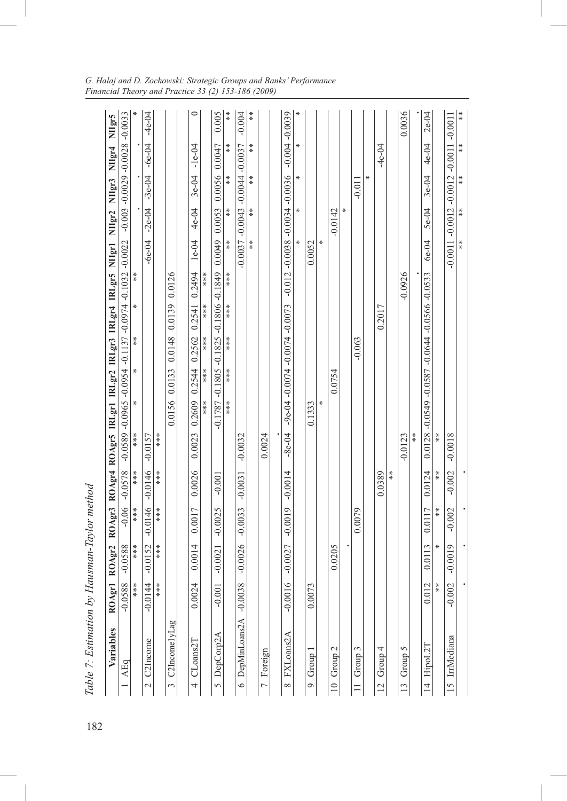|                 | Table 7: Estimation by Hausman-Taylor method |                            |           |           |           |           |        |                                                         |            |                    |                                      |                    |                      |                                     |           |
|-----------------|----------------------------------------------|----------------------------|-----------|-----------|-----------|-----------|--------|---------------------------------------------------------|------------|--------------------|--------------------------------------|--------------------|----------------------|-------------------------------------|-----------|
|                 | Variables                                    | gr1<br><b>ROA</b>          | ROAgr2    | ROAgr3    |           |           |        | ROAgr4 ROAgr5 IRLgr1 IRLgr2 IRLgr3 IRLgr4 IRLgr5 NIIgr1 |            |                    |                                      | NII <sub>gr2</sub> | NIIgr3 NIIgr4        |                                     | NIIgr5    |
|                 | AEq                                          | $-0.0588$                  | $-0.0588$ | $-0.06$   | $-0.0578$ |           |        | $-0.0589 - 0.0965 - 0.0954 - 0.1137 - 0.1032 - 0.0022$  |            |                    |                                      |                    |                      | $-0.003 - 0.0029 - 0.0028 - 0.0033$ |           |
|                 |                                              | $**\n$                     | ***       | $**\ast$  | ***       | $**\ast$  |        |                                                         | $* *$      | $*$                |                                      |                    |                      |                                     | ⋇         |
| $\mathcal{L}$   | C <sub>2</sub> Income                        | $-0.0144$                  | $-0.0152$ | $-0.0146$ | $-0.0146$ | $-0.0157$ |        |                                                         |            |                    | $-6e-04$                             | $-2e-04$           | $-3e-04$             | $-6e-04$                            | $4e-04$   |
|                 |                                              | $**\ast$                   | ***       | ***       | ***       | ***       |        |                                                         |            |                    |                                      |                    |                      |                                     |           |
| 3               | C2Income1yLag                                |                            |           |           |           |           | 0.0156 | 0.0148<br>0.0133                                        | 0.0139     | 0.0126             |                                      |                    |                      |                                     |           |
|                 |                                              |                            |           |           |           |           |        |                                                         |            |                    |                                      |                    |                      |                                     |           |
| 4               | CLoans2T                                     | 0.0024                     | 0.0014    | 0.0017    | 0.0026    | 0.0023    | 0.2609 | 0.2562<br>0.2544                                        | 0.2541     | 0.2494             | $1e-04$                              | 4e-04              | $3e-04$              | $-1e-04$                            | $\circ$   |
|                 |                                              |                            |           |           |           |           | ***    | ***                                                     | ***<br>*** | ***                |                                      |                    |                      |                                     |           |
| 5               | DepCorp2A                                    | $-0.001$                   | $-0.0021$ | $-0.0025$ | $-0.001$  |           |        | $-0.1787 - 0.1805 - 0.1825$                             |            | $-0.1806 - 0.1849$ | 0.0049                               | 0.0053             | 0.0056               | 0.0047                              | 0.005     |
|                 |                                              |                            |           |           |           |           | ***    | ***                                                     | ***<br>*** | ***                | $*$                                  | $* *$              | $*$                  | $* *$                               | $* *$     |
| $\circ$         | DepMinLoans2A                                | $-0.0038$                  | $-0.0026$ | $-0.0033$ | $-0.0031$ | $-0.0032$ |        |                                                         |            |                    | $-0.0037 - 0.0043 - 0.0044 - 0.0037$ |                    |                      |                                     | $-0.004$  |
|                 |                                              |                            |           |           |           |           |        |                                                         |            |                    | $\stackrel{*}{\ast}$                 | $*$                | $\stackrel{*}{\ast}$ | $* *$                               | $*$       |
| $\overline{a}$  | Foreign                                      |                            |           |           |           | 0.0024    |        |                                                         |            |                    |                                      |                    |                      |                                     |           |
|                 |                                              |                            |           |           |           |           |        |                                                         |            |                    |                                      |                    |                      |                                     |           |
| ${}^{\infty}$   | FXLoans2A                                    | $-0.0016$                  | $-0.0027$ | $-0.0019$ | $-0.0014$ | $-8e-04$  |        | $-9e-04 - 0.0074 - 0.0074 - 0.0073$                     |            |                    | $-0.012 - 0.0038 - 0.0034 - 0.0036$  |                    |                      | $-0.004 - 0.0039$                   |           |
|                 |                                              |                            |           |           |           |           |        |                                                         |            |                    |                                      |                    | ₩                    |                                     | ∗         |
| $\circ$         | Group 1                                      | 0.0073                     |           |           |           |           | 0.1333 |                                                         |            |                    | 0.0052                               |                    |                      |                                     |           |
|                 |                                              |                            |           |           |           |           | ⋇      |                                                         |            |                    | ⋇                                    |                    |                      |                                     |           |
| $\approx$       | Group <sub>2</sub>                           |                            | 0.0205    |           |           |           |        | 0.0754                                                  |            |                    |                                      | $-0.0142$          |                      |                                     |           |
|                 |                                              |                            |           |           |           |           |        |                                                         |            |                    |                                      | ⋇                  |                      |                                     |           |
|                 | $\epsilon$<br>Group:                         |                            |           | 0.0079    |           |           |        | $-0.063$                                                |            |                    |                                      |                    | $-0.011$             |                                     |           |
|                 |                                              |                            |           |           |           |           |        |                                                         |            |                    |                                      |                    | ∗                    |                                     |           |
| $\overline{2}$  | Group 4                                      |                            |           |           | 0.0389    |           |        |                                                         | 0.2017     |                    |                                      |                    |                      | $-4e-04$                            |           |
|                 |                                              |                            |           |           | $*$       |           |        |                                                         |            |                    |                                      |                    |                      |                                     |           |
| $\overline{13}$ | Group 5                                      |                            |           |           |           | $-0.0123$ |        |                                                         |            | $-0.0926$          |                                      |                    |                      |                                     | 0.0036    |
|                 |                                              |                            |           |           |           | $*$       |        |                                                         |            |                    |                                      |                    |                      |                                     |           |
| $\overline{4}$  | HipoL2T                                      | 012<br>$\circ$             | 0.0113    | 0.0117    | 0.0124    |           |        | $0.0128 - 0.0549 - 0.0587 - 0.0644 - 0.0566 - 0.0533$   |            |                    | 6e-04                                | $5e-04$            | $3e-04$              | 4e-04                               | $2e-04$   |
|                 |                                              | $*$                        | ∗         | $*$       | $*$       | $*$       |        |                                                         |            |                    |                                      |                    |                      |                                     |           |
| $15 \,$         | IrrMediana                                   | .002<br>$\dot{\mathsf{C}}$ | $-0.0019$ | $-0.002$  | $-0.002$  | $-0.0018$ |        |                                                         |            |                    | $-0.0011 - 0.0012 - 0.0012$          |                    |                      | $-0.0011$                           | $-0.0011$ |
|                 |                                              |                            |           |           |           |           |        |                                                         |            |                    | $*$                                  | $*$                | $*$                  | $* *$                               | $*$       |

Table 7: Estimation by Hausman-Taylor method

*G. Halaj and D. Zochowski: Strategic Groups and Banks' Performance Financial Theory and Practice 33 (2) 153-186 (2009)*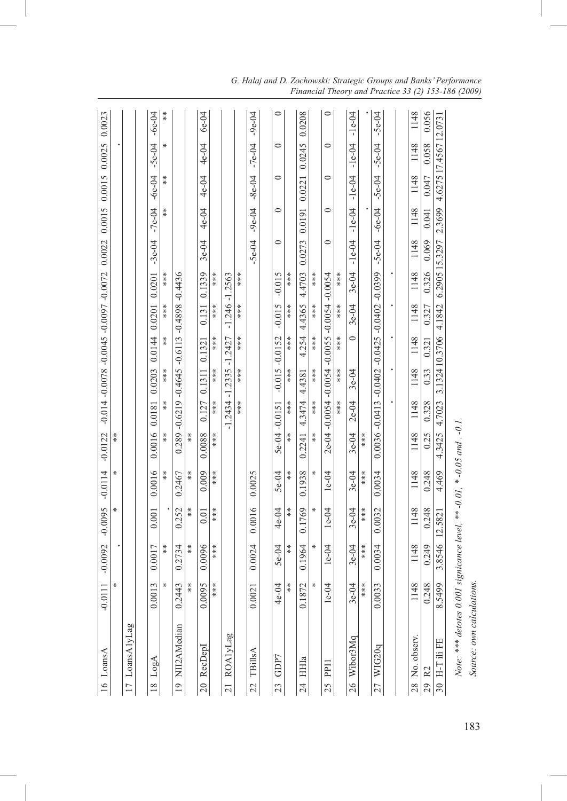| 16 LoansA                       | .0111<br>ę | $-0.0092$ | $-0.0095$ | $-0.0114$ | $-0.0122$         |                           |                    |                            |                   | $-0.014 - 0.0078 - 0.0045 - 0.0097 - 0.0072$ |          | 0.0015   | 0.0015               | 0.0025 0.0023 |          |
|---------------------------------|------------|-----------|-----------|-----------|-------------------|---------------------------|--------------------|----------------------------|-------------------|----------------------------------------------|----------|----------|----------------------|---------------|----------|
|                                 | ⋇          |           | ⋇         |           | $*$               |                           |                    |                            |                   |                                              |          |          |                      |               |          |
| 17 LoansAlyLag                  |            |           |           |           |                   |                           |                    |                            |                   |                                              |          |          |                      |               |          |
|                                 |            |           |           |           |                   |                           |                    |                            |                   |                                              |          |          |                      |               |          |
| LogA<br>$\frac{8}{18}$          | .0013<br>0 | 0.0017    | 0.001     | 0.0016    | 0.0016 0.0181     |                           |                    | $0.0203$ $0.0144$ $0.0201$ |                   | 0.0201                                       | $-3e-04$ | $-7e-04$ | $-6e-04$             | $-5e-04$      | $-6e-04$ |
|                                 |            | $*$       |           |           |                   | $* *$                     | ***                | $* *$                      | ***               | ***                                          |          | $*$      | $*$                  | ⋇             | $*$      |
| NII2 AMedian<br>$\overline{19}$ | .2443      | 0.2734    | 0.252     | 0.2467    |                   | $0.289 - 0.6219 - 0.4645$ |                    | $-0.6113$                  | $-0.4898$         | $-0.4436$                                    |          |          |                      |               |          |
|                                 | $*$        | $*$       | $*$       | $*$       | $* *$             |                           |                    |                            |                   |                                              |          |          |                      |               |          |
| RecDepl<br>$\overline{20}$      | 0095<br>0  | 0.0096    | 0.01      | 0.009     | 0.0088            | 0.127                     | 0.1311             | 0.1321                     | 0.131             | 0.1339                                       | $3e-04$  | 4e-04    | 4e-04                | 4e-04         | $6e-04$  |
|                                 | ***        | ***       | ***       | ***       | ***               | ***                       | ***                | ***                        | ***               | ***                                          |          |          |                      |               |          |
| ROA1yLag<br>$\overline{21}$     |            |           |           |           |                   | $-1.2434 - 1.2335$        |                    | $-1.2427$                  | $-1.246 - 1.2563$ |                                              |          |          |                      |               |          |
|                                 |            |           |           |           |                   | ***                       | ***                | ***                        | ***               | ***                                          |          |          |                      |               |          |
| TBillsA<br>22                   | .0021      | 0.0024    | 0.0016    | 0.0025    |                   |                           |                    |                            |                   |                                              | $-5e-04$ | $-9e-04$ | $-8e-04$             | $-7e-04$      | $-9e-04$ |
|                                 |            |           |           |           |                   |                           |                    |                            |                   |                                              |          |          |                      |               |          |
| GDP7<br>23                      | 4e-04      | $5e-04$   | 4e-04     | $5e-04$   |                   | $5e-04 - 0.0151$          |                    | $-0.015 - 0.0152$          | $-0.015$          | $-0.015$                                     | $\circ$  | $\circ$  | $\circ$              | $\circ$       | $\circ$  |
|                                 | $*$        | $*$       | $*$       | $*$       | $*$               | ***                       | ***                | ***                        | ***               | ***                                          |          |          |                      |               |          |
| HHIa<br>24                      | .1872<br>0 | 0.1964    | 0.1769    | 0.1938    | 0.2241            | 4.3474                    | 4.4381             | 4.254                      | 4.4365            | 4.4703                                       | 0.0273   | 0.0191   | 0.0221               | 0.0245        | 0.0208   |
|                                 |            |           | ₩         |           | $*$               | ***                       | ***                | ***                        | ***               | ***                                          |          |          |                      |               |          |
| PP <sub>I1</sub><br>25          | $1e-04$    | $1e-04$   | $1e-04$   | $1e-04$   | $2e-04$           | $-0.0054$                 | $-0.0054 - 0.0055$ |                            | $-0.0054$         | $-0.0054$                                    | $\circ$  | $\circ$  | $\circ$              | $\circ$       | $\circ$  |
|                                 |            |           |           |           |                   | ***                       | ***                | ***                        | ***               | ***                                          |          |          |                      |               |          |
| Wibor3Mq<br>26                  | $3e-04$    | $3e-04$   | $3e-04$   | $3e-04$   | $3e-04$           | $2e-04$                   | $3e-04$            | $\circ$                    | $3e-04$           | $3e-04$                                      | $-1e-04$ | $-1e-04$ | $-1e-04$             | $-1e-04$      | $-1e-04$ |
|                                 | ***        | ***       | ***       | ****      | ***               |                           |                    |                            |                   |                                              |          |          |                      |               |          |
| WIG20q<br>27                    | .0033      | 0.0034    | 0.0032    | 0.0034    | $0.0036 - 0.0413$ |                           | $-0.0402 - 0.0425$ |                            | $-0.0402$         | $-0.0399$                                    | $-5e-04$ | $-6e-04$ | $-5e-04$             | $-5e-04$      | $-5e-04$ |
|                                 |            |           |           |           |                   |                           | $\bullet$          |                            | ۰                 |                                              |          |          |                      |               |          |
|                                 |            |           |           |           |                   |                           |                    |                            |                   |                                              |          |          |                      |               |          |
| 28 No. observ.                  | 1148       | 1148      | 1148      | 1148      | 1148              | 1148                      | 1148               | 1148                       | 1148              | 1148                                         | 1148     | 1148     | 1148                 | 1148          | 1148     |
| 29 R2                           | 0.248      | 0.249     | 0.248     | 0.248     | 0.25              | 0.328                     | 0.33               | 0.321                      | 0.327             | 0.326                                        | 0.069    | 0.041    | 0.047                | 0.058         | 0.056    |
| 30 H-T ili FE                   | .5499<br>∞ | 3.8546    | 12.5821   | 4.469     | 4.3425            | 4.7023                    |                    | 3.132410.3706 4.1842       |                   | 6.2905 15.3297                               |          | 2.3699   | 4.627517.456712.0731 |               |          |
|                                 |            |           |           |           |                   |                           |                    |                            |                   |                                              |          |          |                      |               |          |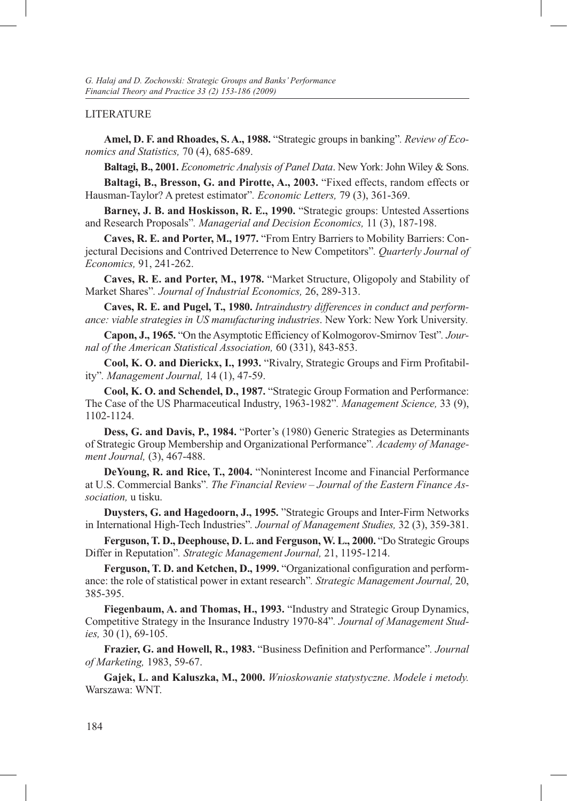#### LITERATURe

**Amel, D. F. and Rhoades, S. A., 1988.** "Strategic groups in banking"*. Review of Economics and Statistics,* 70 (4), 685-689.

**Baltagi, B., 2001.** *Econometric Analysis of Panel Data*. New York: John Wiley & Sons.

**Baltagi, B., Bresson, G. and Pirotte, A., 2003.** "Fixed effects, random effects or Hausman-Taylor? A pretest estimator"*. Economic Letters,* 79 (3), 361-369.

**Barney, J. B. and Hoskisson, R. E., 1990.** "Strategic groups: Untested Assertions and Research Proposals"*. Managerial and Decision Economics,* 11 (3), 187-198.

**Caves, R. E. and Porter, M., 1977.** "From Entry Barriers to Mobility Barriers: Conjectural Decisions and Contrived Deterrence to New Competitors"*. Quarterly Journal of Economics,* 91, 241-262.

**Caves, R. E. and Porter, M., 1978.** "Market Structure, Oligopoly and Stability of Market Shares"*. Journal of Industrial Economics,* 26, 289-313.

**Caves, R. E. and Pugel, T., 1980.** *Intraindustry differences in conduct and performance: viable strategies in US manufacturing industries*. New York: New York University*.*

**Capon, J., 1965.** "On the Asymptotic Efficiency of Kolmogorov-Smirnov Test"*. Journal of the American Statistical Association,* 60 (331), 843-853.

**Cool, K. O. and Dierickx, I., 1993.** "Rivalry, Strategic Groups and Firm Profitability"*. Management Journal,* 14 (1), 47-59.

**Cool, K. O. and Schendel, D., 1987.** "Strategic Group Formation and Performance: The Case of the US Pharmaceutical Industry, 1963-1982"*. Management Science,* 33 (9), 1102-1124.

**Dess, G. and Davis, P., 1984.** "Porter's (1980) Generic Strategies as Determinants of Strategic Group Membership and Organizational Performance"*. Academy of Management Journal,* (3), 467-488.

**DeYoung, R. and Rice, T., 2004.** "Noninterest Income and Financial Performance at U.S. Commercial Banks"*. The Financial Review – Journal of the Eastern Finance Association,* u tisku.

**Duysters, G. and Hagedoorn, J., 1995.** "Strategic Groups and Inter-Firm Networks in International High-Tech Industries"*. Journal of Management Studies,* 32 (3), 359-381.

**Ferguson, T. D., Deephouse, D. L. and Ferguson, W. L., 2000.** "Do Strategic Groups Differ in Reputation"*. Strategic Management Journal,* 21, 1195-1214.

**Ferguson, T. D. and Ketchen, D., 1999.** "Organizational configuration and performance: the role of statistical power in extant research"*. Strategic Management Journal,* 20, 385-395.

**Fiegenbaum, A. and Thomas, H., 1993.** "Industry and Strategic Group Dynamics, Competitive Strategy in the Insurance Industry 1970-84"*. Journal of Management Studies,* 30 (1), 69-105.

**Frazier, G. and Howell, R., 1983.** "Business Definition and Performance"*. Journal of Marketing,* 1983, 59-67.

**Gajek, L. and Kaluszka, M., 2000.** *Wnioskowanie statystyczne*. *Modele i metody.*  Warszawa: WNT.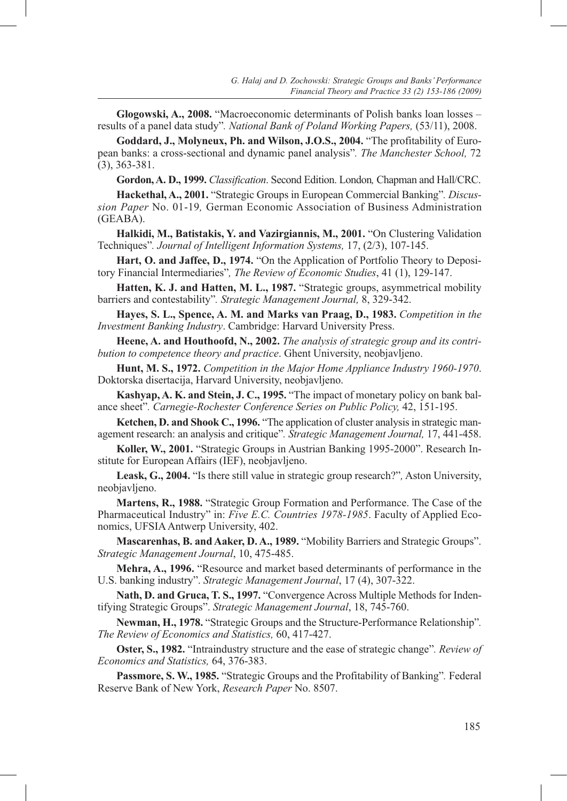**Glogowski, A., 2008.** "Macroeconomic determinants of Polish banks loan losses – results of a panel data study"*. National Bank of Poland Working Papers,* (53/11), 2008.

**Goddard, J., Molyneux, Ph. and Wilson, J.O.S., 2004.** "The profitability of European banks: a cross-sectional and dynamic panel analysis"*. The Manchester School,* 72 (3), 363-381.

**Gordon, A. D., 1999.** *Classification*. Second Edition. London*,* Chapman and Hall/CRC.

**Hackethal, A., 2001.** "Strategic Groups in European Commercial Banking"*. Discussion Paper* No. 01-19*,* German Economic Association of Business Administration (GEABA).

**Halkidi, M., Batistakis, Y. and Vazirgiannis, M., 2001.** "On Clustering Validation Techniques"*. Journal of Intelligent Information Systems,* 17, (2/3), 107-145.

**Hart, O. and Jaffee, D., 1974.** "On the Application of Portfolio Theory to Depository Financial Intermediaries"*, The Review of Economic Studies*, 41 (1), 129-147.

**Hatten, K. J. and Hatten, M. L., 1987.** "Strategic groups, asymmetrical mobility barriers and contestability"*. Strategic Management Journal,* 8, 329-342.

**Hayes, S. L., Spence, A. M. and Marks van Praag, D., 1983.** *Competition in the Investment Banking Industry*. Cambridge: Harvard University Press.

**Heene, A. and Houthoofd, N., 2002.** *The analysis of strategic group and its contribution to competence theory and practice*. Ghent University, neobjavljeno.

**Hunt, M. S., 1972.** *Competition in the Major Home Appliance Industry 1960-1970*. Doktorska disertacija, Harvard University, neobjavljeno.

**Kashyap, A. K. and Stein, J. C., 1995.** "The impact of monetary policy on bank balance sheet"*. Carnegie-Rochester Conference Series on Public Policy,* 42, 151-195.

**Ketchen, D. and Shook C., 1996.** "The application of cluster analysis in strategic management research: an analysis and critique"*. Strategic Management Journal,* 17, 441-458.

**Koller, W., 2001.** "Strategic Groups in Austrian Banking 1995-2000". Research Institute for European Affairs (IEF), neobjavljeno.

**Leask, G., 2004.** "Is there still value in strategic group research?"*,* Aston University, neobjavljeno.

**Martens, R., 1988.** "Strategic Group Formation and Performance. The Case of the Pharmaceutical Industry" in: *Five E.C. Countries 1978-1985*. Faculty of Applied Economics, UFSIA Antwerp University, 402.

**Mascarenhas, B. and Aaker, D. A., 1989.** "Mobility Barriers and Strategic Groups". *Strategic Management Journal*, 10, 475-485.

**Mehra, A., 1996.** "Resource and market based determinants of performance in the U.S. banking industry". *Strategic Management Journal*, 17 (4), 307-322.

**Nath, D. and Gruca, T. S., 1997.** "Convergence Across Multiple Methods for Indentifying Strategic Groups". *Strategic Management Journal*, 18, 745-760.

**Newman, H., 1978.** "Strategic Groups and the Structure-Performance Relationship"*. The Review of Economics and Statistics,* 60, 417-427.

**Oster, S., 1982.** "Intraindustry structure and the ease of strategic change"*. Review of Economics and Statistics,* 64, 376-383.

**Passmore, S. W., 1985.** "Strategic Groups and the Profitability of Banking"*.* Federal Reserve Bank of New York, *Research Paper* No. 8507.